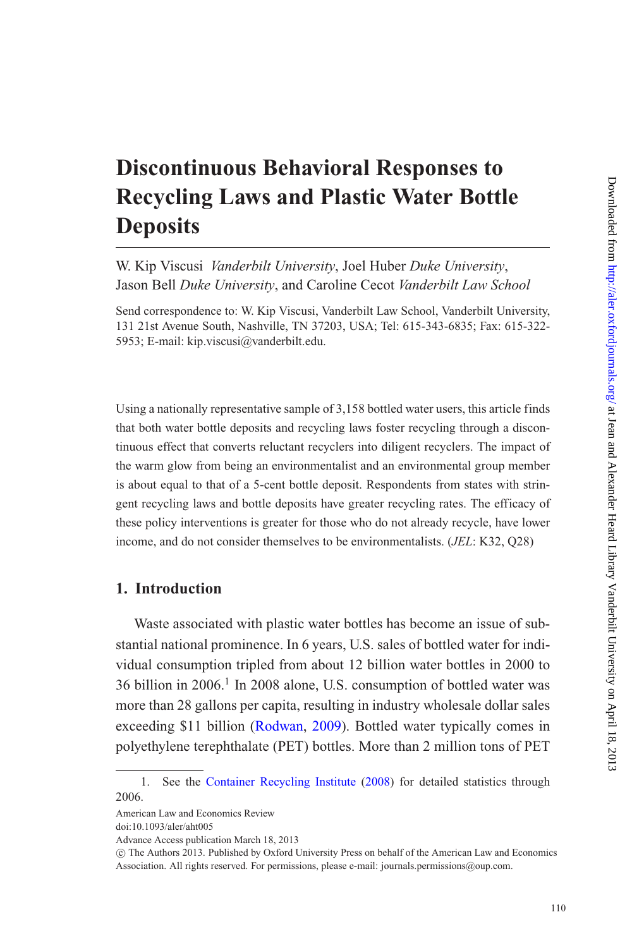# **Discontinuous Behavioral Responses to Recycling Laws and Plastic Water Bottle Deposits**

W. Kip Viscusi *Vanderbilt University*, Joel Huber *Duke University*, Jason Bell *Duke University*, and Caroline Cecot *Vanderbilt Law School*

Send correspondence to: W. Kip Viscusi, Vanderbilt Law School, Vanderbilt University, 131 21st Avenue South, Nashville, TN 37203, USA; Tel: 615-343-6835; Fax: 615-322- 5953; E-mail: kip.viscusi@vanderbilt.edu.

Using a nationally representative sample of 3,158 bottled water users, this article finds that both water bottle deposits and recycling laws foster recycling through a discontinuous effect that converts reluctant recyclers into diligent recyclers. The impact of the warm glow from being an environmentalist and an environmental group member is about equal to that of a 5-cent bottle deposit. Respondents from states with stringent recycling laws and bottle deposits have greater recycling rates. The efficacy of these policy interventions is greater for those who do not already recycle, have lower income, and do not consider themselves to be environmentalists. (*JEL*: K32, Q28)

## **1. Introduction**

Waste associated with plastic water bottles has become an issue of substantial national prominence. In 6 years, U.S. sales of bottled water for individual consumption tripled from about 12 billion water bottles in 2000 to 36 billion in 2006.<sup>1</sup> In 2008 alone, U.S. consumption of bottled water was more than 28 gallons per capita, resulting in industry wholesale dollar sales exceeding \$11 billion [\(Rodwan](#page-44-0), [2009](#page-44-0)). Bottled water typically comes in polyethylene terephthalate (PET) bottles. More than 2 million tons of PET

American Law and Economics Review

doi:10.1093/aler/aht005

<sup>1.</sup> See the [Container Recycling Institute](#page-44-1) [\(2008\)](#page-44-1) for detailed statistics through 2006.

Advance Access publication March 18, 2013

<sup>-</sup>c The Authors 2013. Published by Oxford University Press on behalf of the American Law and Economics Association. All rights reserved. For permissions, please e-mail: journals.permissions@oup.com.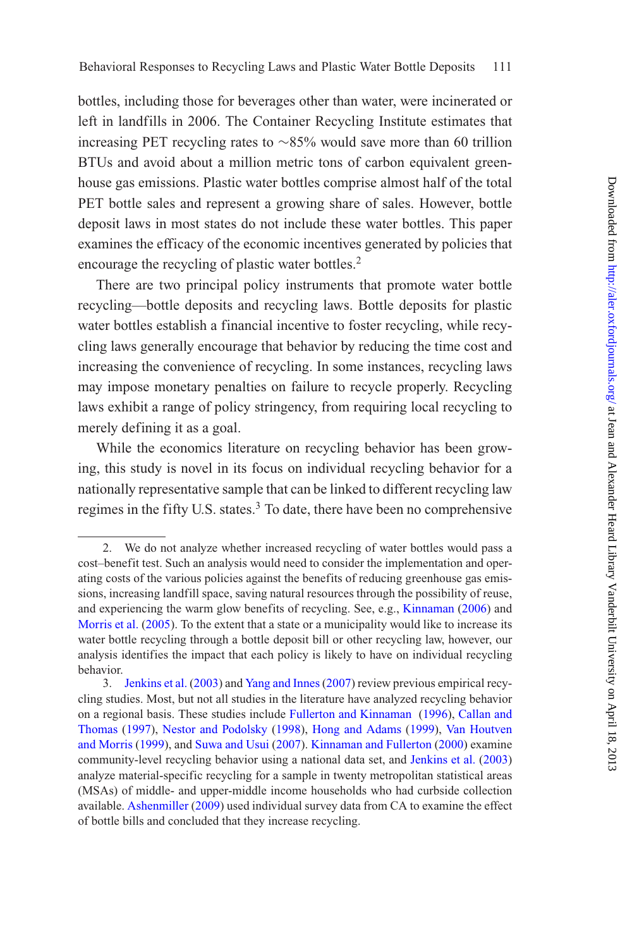bottles, including those for beverages other than water, were incinerated or left in landfills in 2006. The Container Recycling Institute estimates that increasing PET recycling rates to ∼85% would save more than 60 trillion BTUs and avoid about a million metric tons of carbon equivalent greenhouse gas emissions. Plastic water bottles comprise almost half of the total PET bottle sales and represent a growing share of sales. However, bottle deposit laws in most states do not include these water bottles. This paper examines the efficacy of the economic incentives generated by policies that encourage the recycling of plastic water bottles.<sup>2</sup>

There are two principal policy instruments that promote water bottle recycling—bottle deposits and recycling laws. Bottle deposits for plastic water bottles establish a financial incentive to foster recycling, while recycling laws generally encourage that behavior by reducing the time cost and increasing the convenience of recycling. In some instances, recycling laws may impose monetary penalties on failure to recycle properly. Recycling laws exhibit a range of policy stringency, from requiring local recycling to merely defining it as a goal.

While the economics literature on recycling behavior has been growing, this study is novel in its focus on individual recycling behavior for a nationally representative sample that can be linked to different recycling law regimes in the fifty U.S. states.<sup>3</sup> To date, there have been no comprehensive

<sup>2.</sup> We do not analyze whether increased recycling of water bottles would pass a cost–benefit test. Such an analysis would need to consider the implementation and operating costs of the various policies against the benefits of reducing greenhouse gas emissions, increasing landfill space, saving natural resources through the possibility of reuse, and experiencing the warm glow benefits of recycling. See, e.g., [Kinnaman](#page-44-2) [\(2006\)](#page-44-2) and [Morris et al.](#page-44-3) [\(2005\)](#page-44-3). To the extent that a state or a municipality would like to increase its water bottle recycling through a bottle deposit bill or other recycling law, however, our analysis identifies the impact that each policy is likely to have on individual recycling behavior.

<sup>3.</sup> [Jenkins et al.](#page-44-4) [\(2003](#page-44-4)) and [Yang and Innes\(2007](#page-45-0)) review previous empirical recycling studies. Most, but not all studies in the literature have analyzed recycling behavior on a re[gional basis. These studies include](#page-43-0) [Fullerton and Kinnaman](#page-44-5) [\(1996\)](#page-44-5), Callan and Thomas [\(1997](#page-43-0)), [Nestor and Podolsky](#page-44-6) [\(1998\)](#page-44-6), [Hong and Adams](#page-44-7) [\(1999](#page-44-7)), Van Houtven and Morris [\(1999](#page-45-1)), and [Suwa and Usui](#page-45-2) [\(2007\)](#page-45-2). [Kinnaman and Fullerton](#page-44-8) [\(2000\)](#page-44-8) examine community-level recycling behavior using a national data set, and [Jenkins et al.](#page-44-4) [\(2003](#page-44-4)) analyze material-specific recycling for a sample in twenty metropolitan statistical areas (MSAs) of middle- and upper-middle income households who had curbside collection available. [Ashenmiller](#page-43-1) [\(2009](#page-43-1)) used individual survey data from CA to examine the effect of bottle bills and concluded that they increase recycling.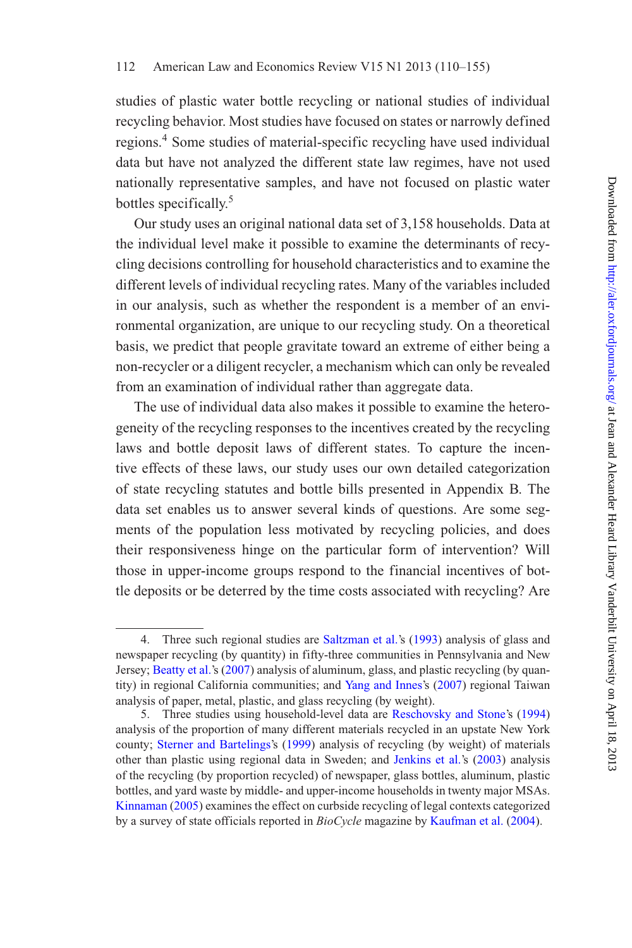studies of plastic water bottle recycling or national studies of individual recycling behavior. Most studies have focused on states or narrowly defined regions.<sup>4</sup> Some studies of material-specific recycling have used individual data but have not analyzed the different state law regimes, have not used nationally representative samples, and have not focused on plastic water bottles specifically.<sup>5</sup>

Our study uses an original national data set of 3,158 households. Data at the individual level make it possible to examine the determinants of recycling decisions controlling for household characteristics and to examine the different levels of individual recycling rates. Many of the variables included in our analysis, such as whether the respondent is a member of an environmental organization, are unique to our recycling study. On a theoretical basis, we predict that people gravitate toward an extreme of either being a non-recycler or a diligent recycler, a mechanism which can only be revealed from an examination of individual rather than aggregate data.

The use of individual data also makes it possible to examine the heterogeneity of the recycling responses to the incentives created by the recycling laws and bottle deposit laws of different states. To capture the incentive effects of these laws, our study uses our own detailed categorization of state recycling statutes and bottle bills presented in Appendix B. The data set enables us to answer several kinds of questions. Are some segments of the population less motivated by recycling policies, and does their responsiveness hinge on the particular form of intervention? Will those in upper-income groups respond to the financial incentives of bottle deposits or be deterred by the time costs associated with recycling? Are

<sup>4.</sup> Three such regional studies are [Saltzman et al.](#page-44-9)'s [\(1993](#page-44-9)) analysis of glass and newspaper recycling (by quantity) in fifty-three communities in Pennsylvania and New Jersey; [Beatty et al.](#page-43-2)'s [\(2007\)](#page-43-2) analysis of aluminum, glass, and plastic recycling (by quantity) in regional California communities; and [Yang and Innes'](#page-45-0)s [\(2007\)](#page-45-0) regional Taiwan analysis of paper, metal, plastic, and glass recycling (by weight).

<sup>5.</sup> Three studies using household-level data are [Reschovsky and Stone'](#page-44-10)s [\(1994](#page-44-10)) analysis of the proportion of many different materials recycled in an upstate New York county; [Sterner and Bartelings](#page-45-3)'s [\(1999\)](#page-45-3) analysis of recycling (by weight) of materials other than plastic using regional data in Sweden; and [Jenkins et al.](#page-44-4)'s [\(2003\)](#page-44-4) analysis of the recycling (by proportion recycled) of newspaper, glass bottles, aluminum, plastic bottles, and yard waste by middle- and upper-income households in twenty major MSAs. [Kinnaman](#page-44-11) [\(2005\)](#page-44-11) examines the effect on curbside recycling of legal contexts categorized by a survey of state officials reported in *BioCycle* magazine by [Kaufman et al.](#page-44-12) [\(2004](#page-44-12)).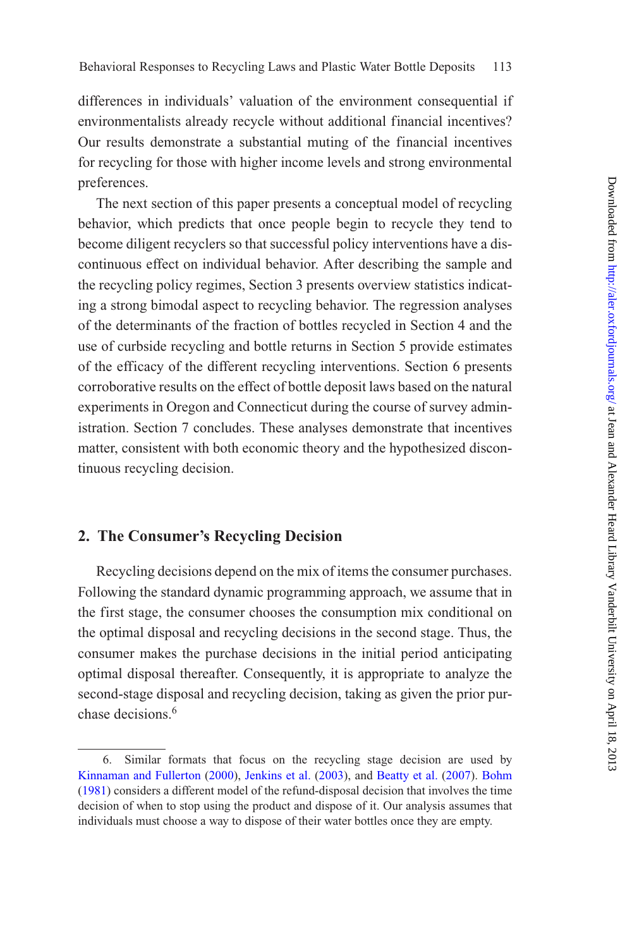differences in individuals' valuation of the environment consequential if environmentalists already recycle without additional financial incentives? Our results demonstrate a substantial muting of the financial incentives for recycling for those with higher income levels and strong environmental preferences.

The next section of this paper presents a conceptual model of recycling behavior, which predicts that once people begin to recycle they tend to become diligent recyclers so that successful policy interventions have a discontinuous effect on individual behavior. After describing the sample and the recycling policy regimes, Section 3 presents overview statistics indicating a strong bimodal aspect to recycling behavior. The regression analyses of the determinants of the fraction of bottles recycled in Section 4 and the use of curbside recycling and bottle returns in Section 5 provide estimates of the efficacy of the different recycling interventions. Section 6 presents corroborative results on the effect of bottle deposit laws based on the natural experiments in Oregon and Connecticut during the course of survey administration. Section 7 concludes. These analyses demonstrate that incentives matter, consistent with both economic theory and the hypothesized discontinuous recycling decision.

## **2. The Consumer's Recycling Decision**

Recycling decisions depend on the mix of items the consumer purchases. Following the standard dynamic programming approach, we assume that in the first stage, the consumer chooses the consumption mix conditional on the optimal disposal and recycling decisions in the second stage. Thus, the consumer makes the purchase decisions in the initial period anticipating optimal disposal thereafter. Consequently, it is appropriate to analyze the second-stage disposal and recycling decision, taking as given the prior purchase decisions.<sup>6</sup>

<sup>6.</sup> Similar formats that focus on the recycling stage decision are used by [Kinnaman and Fullerton](#page-44-8) [\(2000\)](#page-44-8), [Jenkins et al.](#page-44-4) [\(2003\)](#page-44-4), and [Beatty et al.](#page-43-2) [\(2007\)](#page-43-2). [Bohm](#page-43-3) [\(1981\)](#page-43-3) considers a different model of the refund-disposal decision that involves the time decision of when to stop using the product and dispose of it. Our analysis assumes that individuals must choose a way to dispose of their water bottles once they are empty.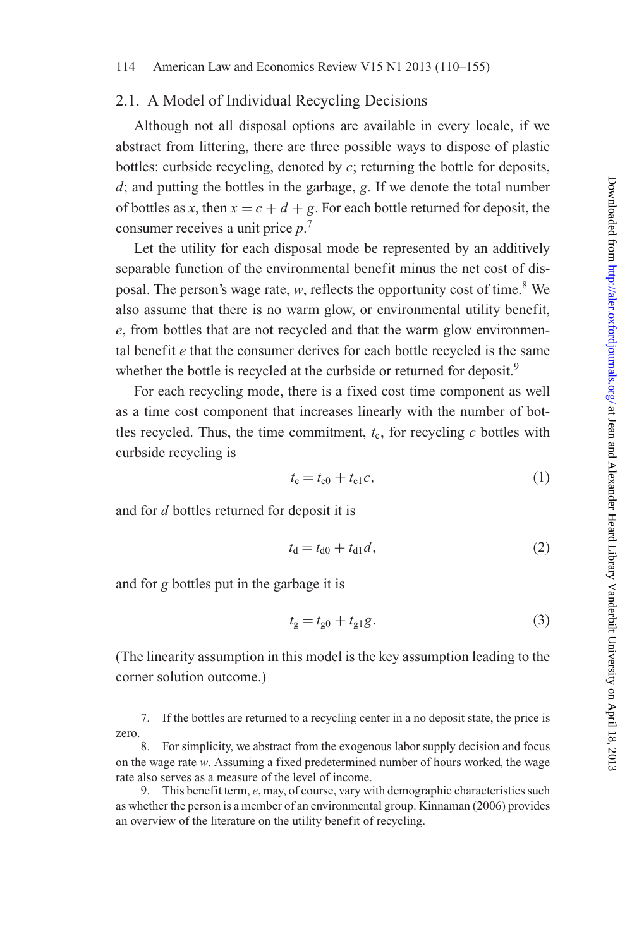## 2.1. A Model of Individual Recycling Decisions

Although not all disposal options are available in every locale, if we abstract from littering, there are three possible ways to dispose of plastic bottles: curbside recycling, denoted by *c*; returning the bottle for deposits, *d*; and putting the bottles in the garbage, *g*. If we denote the total number of bottles as *x*, then  $x = c + d + g$ . For each bottle returned for deposit, the consumer receives a unit price *p*. 7

Let the utility for each disposal mode be represented by an additively separable function of the environmental benefit minus the net cost of disposal. The person's wage rate, *w*, reflects the opportunity cost of time.<sup>8</sup> We also assume that there is no warm glow, or environmental utility benefit, *e*, from bottles that are not recycled and that the warm glow environmental benefit *e* that the consumer derives for each bottle recycled is the same whether the bottle is recycled at the curbside or returned for deposit.<sup>9</sup>

For each recycling mode, there is a fixed cost time component as well as a time cost component that increases linearly with the number of bottles recycled. Thus, the time commitment,  $t_c$ , for recycling  $c$  bottles with curbside recycling is

$$
t_{\rm c} = t_{\rm c0} + t_{\rm c1}c,\tag{1}
$$

and for *d* bottles returned for deposit it is

$$
t_{\rm d} = t_{\rm d0} + t_{\rm d1} d,\tag{2}
$$

and for *g* bottles put in the garbage it is

$$
t_g = t_{g0} + t_{g1}g.
$$
 (3)

(The linearity assumption in this model is the key assumption leading to the corner solution outcome.)

<sup>7.</sup> If the bottles are returned to a recycling center in a no deposit state, the price is zero.

<sup>8.</sup> For simplicity, we abstract from the exogenous labor supply decision and focus on the wage rate *w*. Assuming a fixed predetermined number of hours worked, the wage rate also serves as a measure of the level of income.

<sup>9.</sup> This benefit term, *e*, may, of course, vary with demographic characteristics such as whether the person is a member of an environmental group. Kinnaman (2006) provides an overview of the literature on the utility benefit of recycling.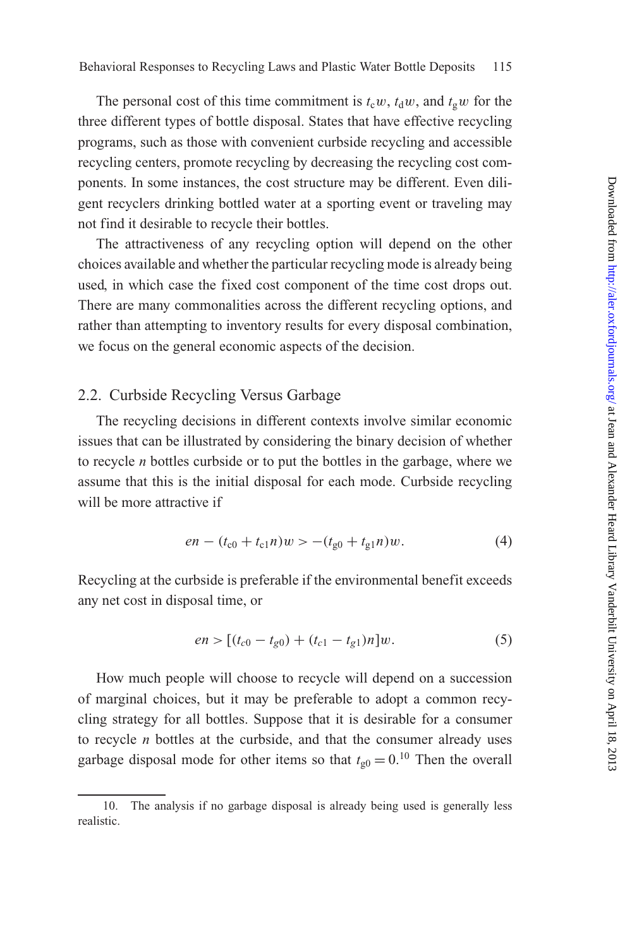The personal cost of this time commitment is  $t_c w$ ,  $t_d w$ , and  $t_g w$  for the three different types of bottle disposal. States that have effective recycling programs, such as those with convenient curbside recycling and accessible recycling centers, promote recycling by decreasing the recycling cost components. In some instances, the cost structure may be different. Even diligent recyclers drinking bottled water at a sporting event or traveling may not find it desirable to recycle their bottles.

The attractiveness of any recycling option will depend on the other choices available and whether the particular recycling mode is already being used, in which case the fixed cost component of the time cost drops out. There are many commonalities across the different recycling options, and rather than attempting to inventory results for every disposal combination, we focus on the general economic aspects of the decision.

## 2.2. Curbside Recycling Versus Garbage

The recycling decisions in different contexts involve similar economic issues that can be illustrated by considering the binary decision of whether to recycle *n* bottles curbside or to put the bottles in the garbage, where we assume that this is the initial disposal for each mode. Curbside recycling will be more attractive if

$$
en - (t_{c0} + t_{c1}n)w > -(t_{g0} + t_{g1}n)w.
$$
 (4)

Recycling at the curbside is preferable if the environmental benefit exceeds any net cost in disposal time, or

$$
en > [(t_{c0} - t_{g0}) + (t_{c1} - t_{g1})n]w.
$$
\n(5)

How much people will choose to recycle will depend on a succession of marginal choices, but it may be preferable to adopt a common recycling strategy for all bottles. Suppose that it is desirable for a consumer to recycle *n* bottles at the curbside, and that the consumer already uses garbage disposal mode for other items so that  $t_{\text{g0}} = 0$ .<sup>10</sup> Then the overall

<sup>10.</sup> The analysis if no garbage disposal is already being used is generally less realistic.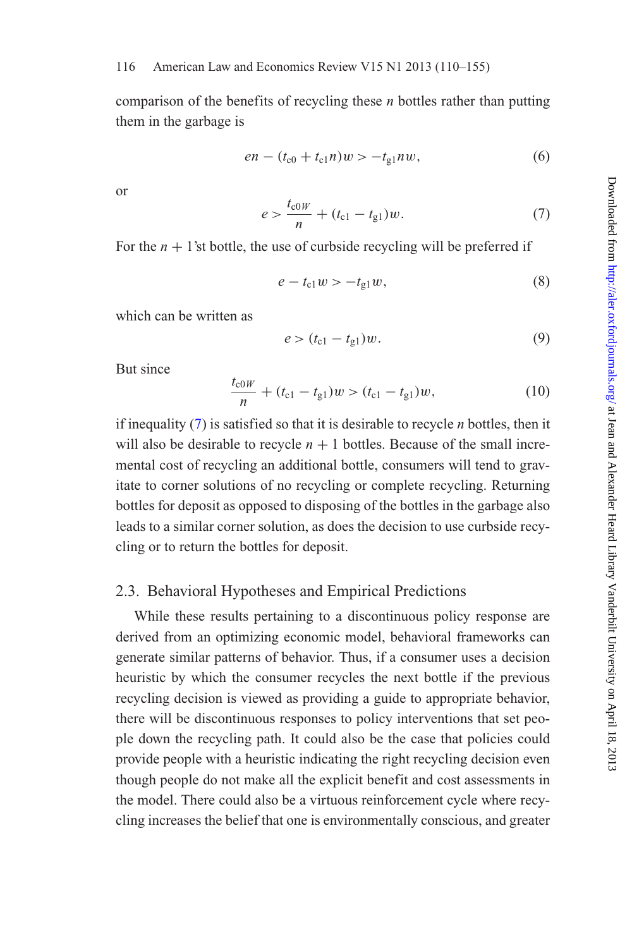comparison of the benefits of recycling these *n* bottles rather than putting them in the garbage is

$$
en - (t_{c0} + t_{c1}n)w > -t_{g1}nw,
$$
\n(6)

or

<span id="page-6-0"></span>
$$
e > \frac{t_{c0W}}{n} + (t_{c1} - t_{g1})w.
$$
 (7)

For the  $n + 1$ 'st bottle, the use of curbside recycling will be preferred if

$$
e - t_{c1}w > -t_{g1}w,
$$
 (8)

which can be written as

$$
e > (t_{c1} - t_{g1})w.
$$
 (9)

But since

$$
\frac{t_{c0W}}{n} + (t_{c1} - t_{g1})w > (t_{c1} - t_{g1})w, \tag{10}
$$

if inequality [\(7\)](#page-6-0) is satisfied so that it is desirable to recycle *n* bottles, then it will also be desirable to recycle  $n + 1$  bottles. Because of the small incremental cost of recycling an additional bottle, consumers will tend to gravitate to corner solutions of no recycling or complete recycling. Returning bottles for deposit as opposed to disposing of the bottles in the garbage also leads to a similar corner solution, as does the decision to use curbside recycling or to return the bottles for deposit.

## 2.3. Behavioral Hypotheses and Empirical Predictions

While these results pertaining to a discontinuous policy response are derived from an optimizing economic model, behavioral frameworks can generate similar patterns of behavior. Thus, if a consumer uses a decision heuristic by which the consumer recycles the next bottle if the previous recycling decision is viewed as providing a guide to appropriate behavior, there will be discontinuous responses to policy interventions that set people down the recycling path. It could also be the case that policies could provide people with a heuristic indicating the right recycling decision even though people do not make all the explicit benefit and cost assessments in the model. There could also be a virtuous reinforcement cycle where recycling increases the belief that one is environmentally conscious, and greater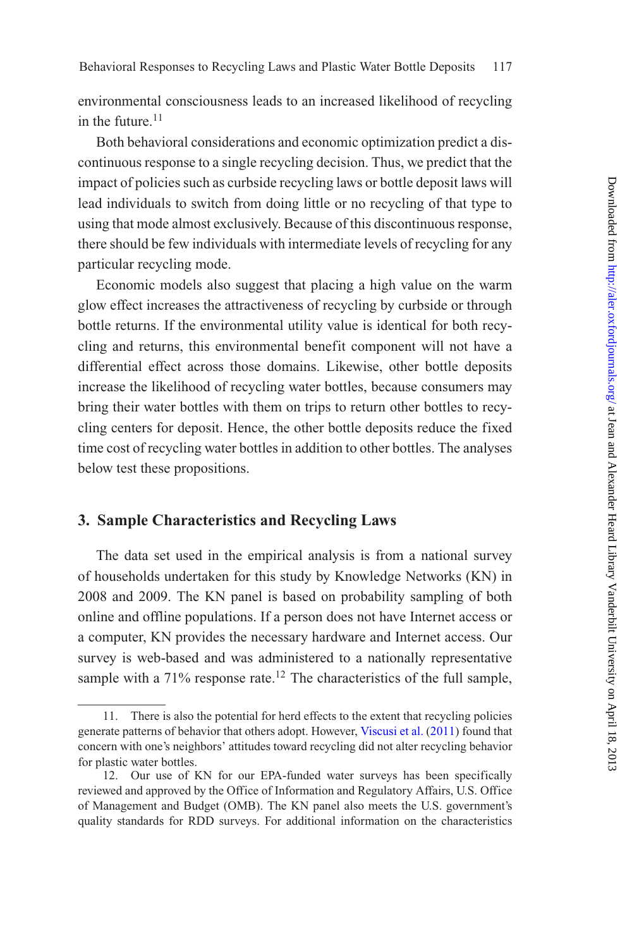environmental consciousness leads to an increased likelihood of recycling in the future. $11$ 

Both behavioral considerations and economic optimization predict a discontinuous response to a single recycling decision. Thus, we predict that the impact of policies such as curbside recycling laws or bottle deposit laws will lead individuals to switch from doing little or no recycling of that type to using that mode almost exclusively. Because of this discontinuous response, there should be few individuals with intermediate levels of recycling for any particular recycling mode.

Economic models also suggest that placing a high value on the warm glow effect increases the attractiveness of recycling by curbside or through bottle returns. If the environmental utility value is identical for both recycling and returns, this environmental benefit component will not have a differential effect across those domains. Likewise, other bottle deposits increase the likelihood of recycling water bottles, because consumers may bring their water bottles with them on trips to return other bottles to recycling centers for deposit. Hence, the other bottle deposits reduce the fixed time cost of recycling water bottles in addition to other bottles. The analyses below test these propositions.

## **3. Sample Characteristics and Recycling Laws**

The data set used in the empirical analysis is from a national survey of households undertaken for this study by Knowledge Networks (KN) in 2008 and 2009. The KN panel is based on probability sampling of both online and offline populations. If a person does not have Internet access or a computer, KN provides the necessary hardware and Internet access. Our survey is web-based and was administered to a nationally representative sample with a 71% response rate.<sup>12</sup> The characteristics of the full sample,

<sup>11.</sup> There is also the potential for herd effects to the extent that recycling policies generate patterns of behavior that others adopt. However, [Viscusi et al.](#page-45-4) [\(2011](#page-45-4)) found that concern with one's neighbors' attitudes toward recycling did not alter recycling behavior for plastic water bottles.

<sup>12.</sup> Our use of KN for our EPA-funded water surveys has been specifically reviewed and approved by the Office of Information and Regulatory Affairs, U.S. Office of Management and Budget (OMB). The KN panel also meets the U.S. government's quality standards for RDD surveys. For additional information on the characteristics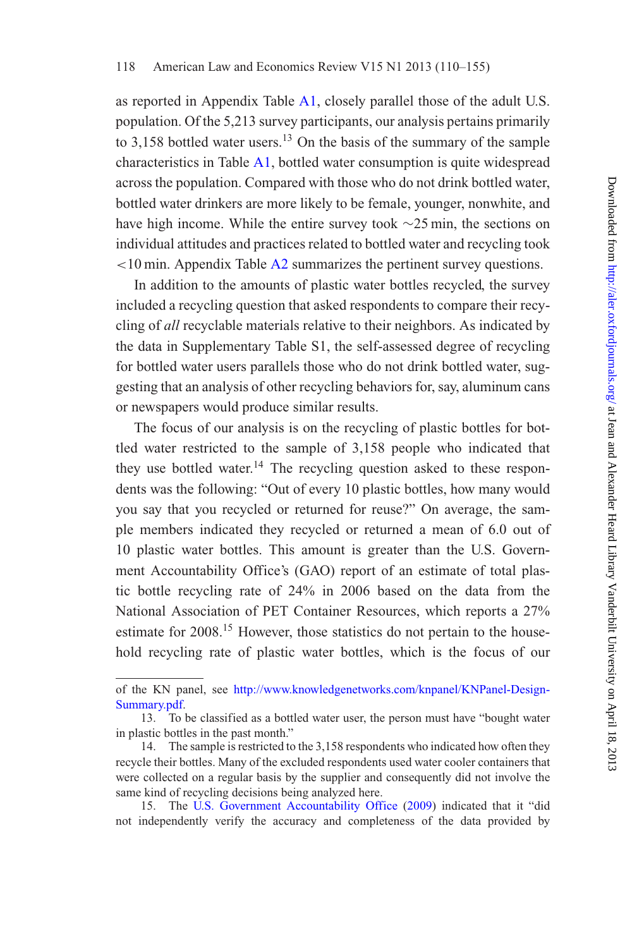as reported in Appendix Table [A1,](#page-10-0) closely parallel those of the adult U.S. population. Of the 5,213 survey participants, our analysis pertains primarily to 3,158 bottled water users.<sup>13</sup> On the basis of the summary of the sample characteristics in Table [A1,](#page-10-0) bottled water consumption is quite widespread across the population. Compared with those who do not drink bottled water, bottled water drinkers are more likely to be female, younger, nonwhite, and have high income. While the entire survey took ∼25 min, the sections on individual attitudes and practices related to bottled water and recycling took *<*10 min. Appendix Table [A2](#page-13-0) summarizes the pertinent survey questions.

In addition to the amounts of plastic water bottles recycled, the survey included a recycling question that asked respondents to compare their recycling of *all* recyclable materials relative to their neighbors. As indicated by the data in Supplementary Table S1, the self-assessed degree of recycling for bottled water users parallels those who do not drink bottled water, suggesting that an analysis of other recycling behaviors for, say, aluminum cans or newspapers would produce similar results.

The focus of our analysis is on the recycling of plastic bottles for bottled water restricted to the sample of 3,158 people who indicated that they use bottled water.<sup>14</sup> The recycling question asked to these respondents was the following: "Out of every 10 plastic bottles, how many would you say that you recycled or returned for reuse?" On average, the sample members indicated they recycled or returned a mean of 6.0 out of 10 plastic water bottles. This amount is greater than the U.S. Government Accountability Office's (GAO) report of an estimate of total plastic bottle recycling rate of 24% in 2006 based on the data from the National Association of PET Container Resources, which reports a 27% estimate for 2008.<sup>15</sup> However, those statistics do not pertain to the household recycling rate of plastic water bottles, which is the focus of our

of the KN panel, see [http://www.knowledgenetworks.com/knpanel/KNPanel-Design-](http://www.knowledgenetworks.com/knpanel/KNPanel-Design-Summary.pdf)[Summary.pdf.](http://www.knowledgenetworks.com/knpanel/KNPanel-Design-Summary.pdf)

<sup>13.</sup> To be classified as a bottled water user, the person must have "bought water in plastic bottles in the past month."

<sup>14.</sup> The sample is restricted to the 3,158 respondents who indicated how often they recycle their bottles. Many of the excluded respondents used water cooler containers that were collected on a regular basis by the supplier and consequently did not involve the same kind of recycling decisions being analyzed here.

<sup>15.</sup> The [U.S. Government Accountability Office](#page-45-5) [\(2009](#page-45-5)) indicated that it "did not independently verify the accuracy and completeness of the data provided by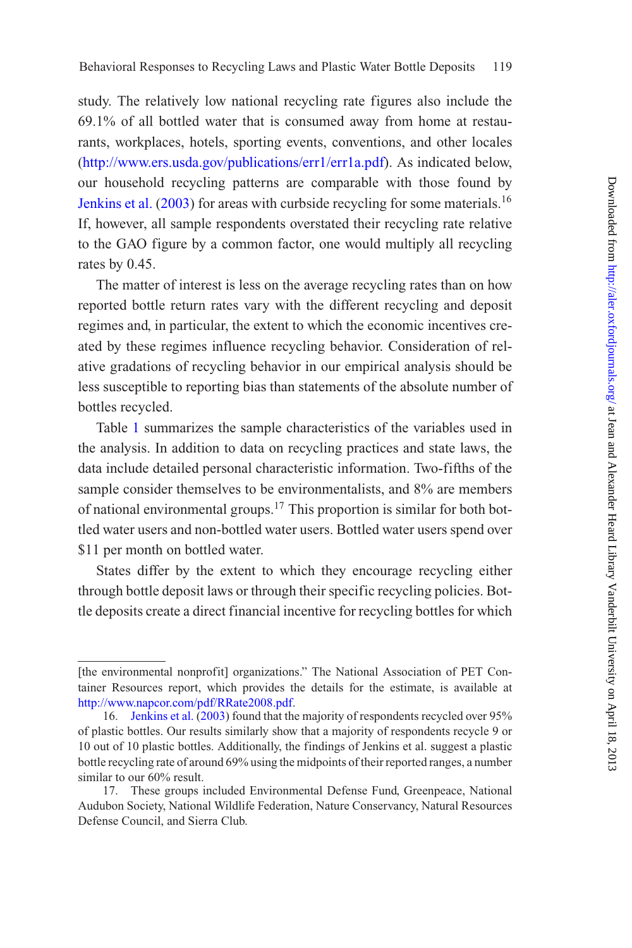study. The relatively low national recycling rate figures also include the 69.1% of all bottled water that is consumed away from home at restaurants, workplaces, hotels, sporting events, conventions, and other locales [\(http://www.ers.usda.gov/publications/err1/err1a.pdf\)](http://www.ers.usda.gov/publications/err1/err1a.pdf). As indicated below, our household recycling patterns are comparable with those found by [Jenkins et al.](#page-44-4)  $(2003)$  for areas with curbside recycling for some materials.<sup>16</sup> If, however, all sample respondents overstated their recycling rate relative to the GAO figure by a common factor, one would multiply all recycling rates by 0.45.

The matter of interest is less on the average recycling rates than on how reported bottle return rates vary with the different recycling and deposit regimes and, in particular, the extent to which the economic incentives created by these regimes influence recycling behavior. Consideration of relative gradations of recycling behavior in our empirical analysis should be less susceptible to reporting bias than statements of the absolute number of bottles recycled.

Table [1](#page-10-0) summarizes the sample characteristics of the variables used in the analysis. In addition to data on recycling practices and state laws, the data include detailed personal characteristic information. Two-fifths of the sample consider themselves to be environmentalists, and 8% are members of national environmental groups.<sup>17</sup> This proportion is similar for both bottled water users and non-bottled water users. Bottled water users spend over \$11 per month on bottled water.

States differ by the extent to which they encourage recycling either through bottle deposit laws or through their specific recycling policies. Bottle deposits create a direct financial incentive for recycling bottles for which

<sup>[</sup>the environmental nonprofit] organizations." The National Association of PET Container Resources report, which provides the details for the estimate, is available at [http://www.napcor.com/pdf/RRate2008.pdf.](http://www.napcor.com/pdf/RRate2008.pdf)

<sup>16.</sup> [Jenkins et al.](#page-44-4) [\(2003](#page-44-4)) found that the majority of respondents recycled over 95% of plastic bottles. Our results similarly show that a majority of respondents recycle 9 or 10 out of 10 plastic bottles. Additionally, the findings of Jenkins et al. suggest a plastic bottle recycling rate of around 69% using the midpoints of their reported ranges, a number similar to our 60% result.

<sup>17.</sup> These groups included Environmental Defense Fund, Greenpeace, National Audubon Society, National Wildlife Federation, Nature Conservancy, Natural Resources Defense Council, and Sierra Club.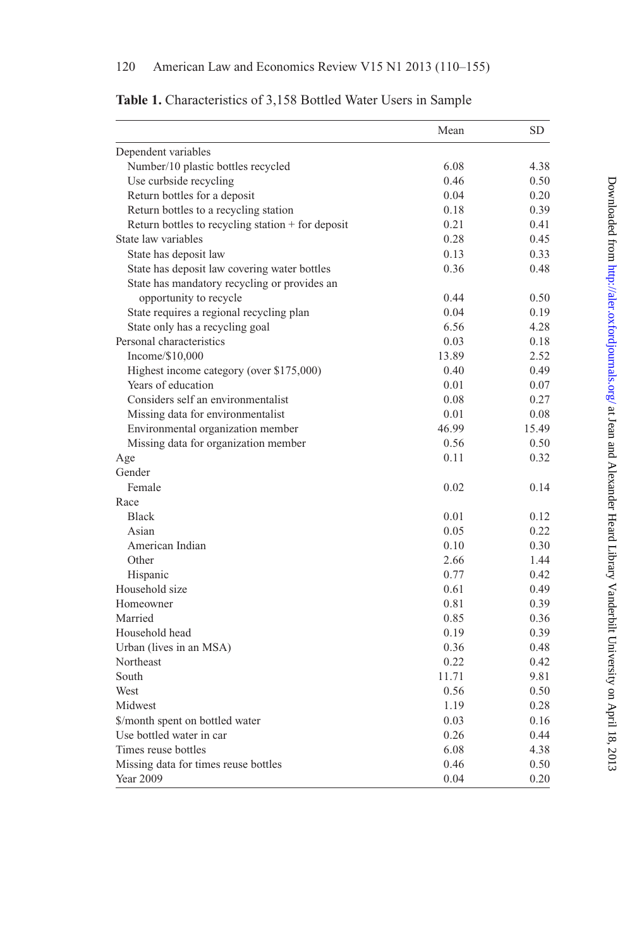<span id="page-10-0"></span>

|  |  | Table 1. Characteristics of 3,158 Bottled Water Users in Sample |  |  |  |  |  |  |  |  |
|--|--|-----------------------------------------------------------------|--|--|--|--|--|--|--|--|
|--|--|-----------------------------------------------------------------|--|--|--|--|--|--|--|--|

|                                                   | Mean  | <b>SD</b> |
|---------------------------------------------------|-------|-----------|
| Dependent variables                               |       |           |
| Number/10 plastic bottles recycled                | 6.08  | 4.38      |
| Use curbside recycling                            | 0.46  | 0.50      |
| Return bottles for a deposit                      | 0.04  | 0.20      |
| Return bottles to a recycling station             | 0.18  | 0.39      |
| Return bottles to recycling station + for deposit | 0.21  | 0.41      |
| State law variables                               | 0.28  | 0.45      |
| State has deposit law                             | 0.13  | 0.33      |
| State has deposit law covering water bottles      | 0.36  | 0.48      |
| State has mandatory recycling or provides an      |       |           |
| opportunity to recycle                            | 0.44  | 0.50      |
| State requires a regional recycling plan          | 0.04  | 0.19      |
| State only has a recycling goal                   | 6.56  | 4.28      |
| Personal characteristics                          | 0.03  | 0.18      |
| Income/\$10,000                                   | 13.89 | 2.52      |
| Highest income category (over \$175,000)          | 0.40  | 0.49      |
| Years of education                                | 0.01  | 0.07      |
| Considers self an environmentalist                | 0.08  | 0.27      |
| Missing data for environmentalist                 | 0.01  | 0.08      |
| Environmental organization member                 | 46.99 | 15.49     |
| Missing data for organization member              | 0.56  | 0.50      |
| Age                                               | 0.11  | 0.32      |
| Gender                                            |       |           |
| Female                                            | 0.02  | 0.14      |
| Race                                              |       |           |
| <b>Black</b>                                      | 0.01  | 0.12      |
| Asian                                             | 0.05  | 0.22      |
| American Indian                                   | 0.10  | 0.30      |
| Other                                             | 2.66  | 1.44      |
| Hispanic                                          | 0.77  | 0.42      |
| Household size                                    | 0.61  | 0.49      |
| Homeowner                                         | 0.81  | 0.39      |
| Married                                           | 0.85  | 0.36      |
| Household head                                    | 0.19  | 0.39      |
| Urban (lives in an MSA)                           | 0.36  | 0.48      |
| Northeast                                         | 0.22  | 0.42      |
| South                                             | 11.71 | 9.81      |
| West                                              | 0.56  | 0.50      |
| Midwest                                           | 1.19  | 0.28      |
| \$/month spent on bottled water                   | 0.03  | 0.16      |
| Use bottled water in car                          | 0.26  | 0.44      |
| Times reuse bottles                               | 6.08  | 4.38      |
| Missing data for times reuse bottles              | 0.46  | 0.50      |
| Year 2009                                         | 0.04  | 0.20      |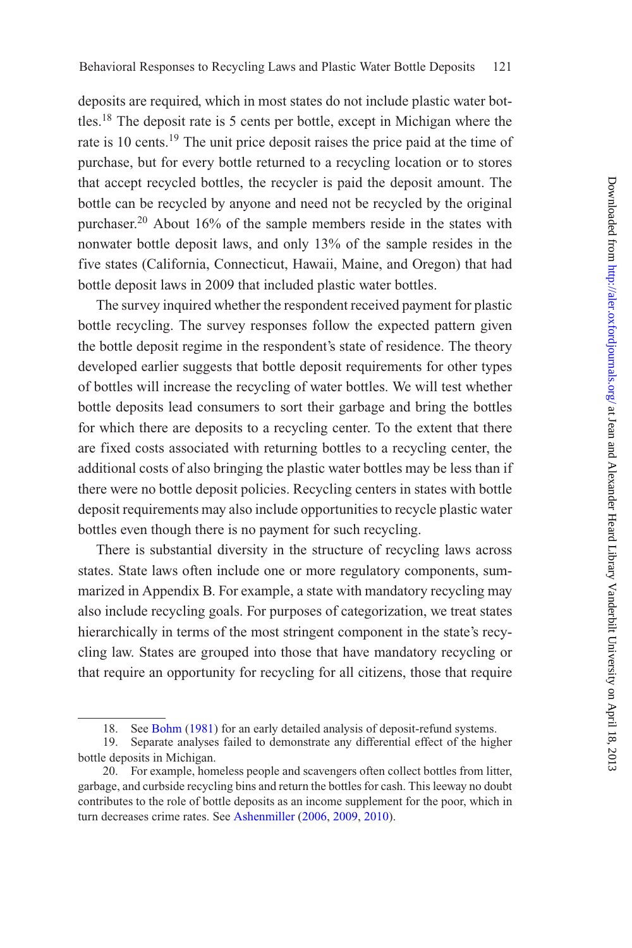deposits are required, which in most states do not include plastic water bottles.18 The deposit rate is 5 cents per bottle, except in Michigan where the rate is 10 cents.<sup>19</sup> The unit price deposit raises the price paid at the time of purchase, but for every bottle returned to a recycling location or to stores that accept recycled bottles, the recycler is paid the deposit amount. The bottle can be recycled by anyone and need not be recycled by the original purchaser.<sup>20</sup> About 16% of the sample members reside in the states with nonwater bottle deposit laws, and only 13% of the sample resides in the five states (California, Connecticut, Hawaii, Maine, and Oregon) that had bottle deposit laws in 2009 that included plastic water bottles.

The survey inquired whether the respondent received payment for plastic bottle recycling. The survey responses follow the expected pattern given the bottle deposit regime in the respondent's state of residence. The theory developed earlier suggests that bottle deposit requirements for other types of bottles will increase the recycling of water bottles. We will test whether bottle deposits lead consumers to sort their garbage and bring the bottles for which there are deposits to a recycling center. To the extent that there are fixed costs associated with returning bottles to a recycling center, the additional costs of also bringing the plastic water bottles may be less than if there were no bottle deposit policies. Recycling centers in states with bottle deposit requirements may also include opportunities to recycle plastic water bottles even though there is no payment for such recycling.

There is substantial diversity in the structure of recycling laws across states. State laws often include one or more regulatory components, summarized in Appendix B. For example, a state with mandatory recycling may also include recycling goals. For purposes of categorization, we treat states hierarchically in terms of the most stringent component in the state's recycling law. States are grouped into those that have mandatory recycling or that require an opportunity for recycling for all citizens, those that require

<sup>18.</sup> See [Bohm](#page-43-3) [\(1981](#page-43-3)) for an early detailed analysis of deposit-refund systems.

<sup>19.</sup> Separate analyses failed to demonstrate any differential effect of the higher bottle deposits in Michigan.

<sup>20.</sup> For example, homeless people and scavengers often collect bottles from litter, garbage, and curbside recycling bins and return the bottles for cash. This leeway no doubt contributes to the role of bottle deposits as an income supplement for the poor, which in turn decreases crime rates. See [Ashenmiller](#page-43-4) [\(2006](#page-43-4), [2009,](#page-43-1) [2010\)](#page-43-5).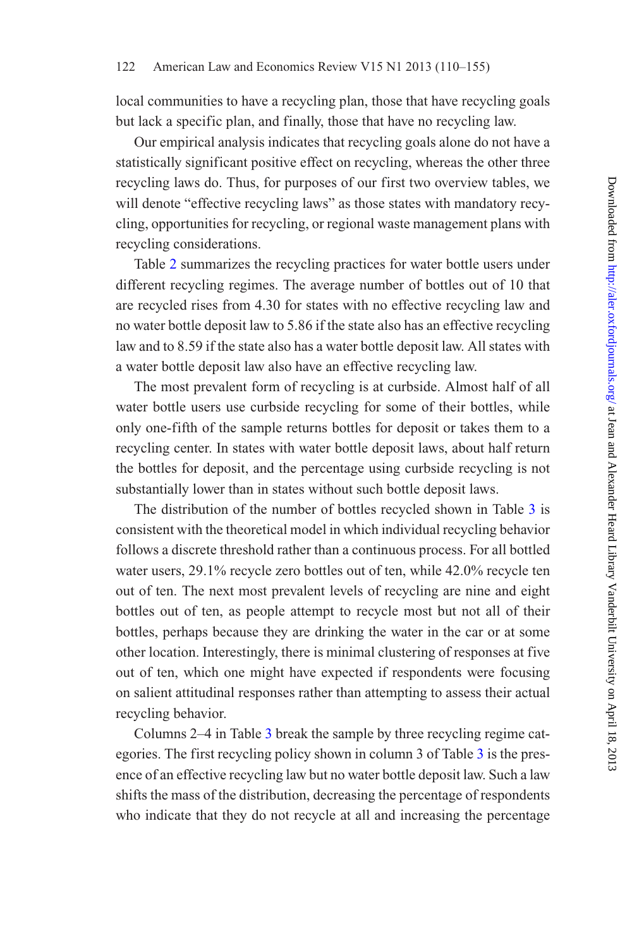local communities to have a recycling plan, those that have recycling goals but lack a specific plan, and finally, those that have no recycling law.

Our empirical analysis indicates that recycling goals alone do not have a statistically significant positive effect on recycling, whereas the other three recycling laws do. Thus, for purposes of our first two overview tables, we will denote "effective recycling laws" as those states with mandatory recycling, opportunities for recycling, or regional waste management plans with recycling considerations.

Table [2](#page-13-0) summarizes the recycling practices for water bottle users under different recycling regimes. The average number of bottles out of 10 that are recycled rises from 4.30 for states with no effective recycling law and no water bottle deposit law to 5.86 if the state also has an effective recycling law and to 8.59 if the state also has a water bottle deposit law. All states with a water bottle deposit law also have an effective recycling law.

The most prevalent form of recycling is at curbside. Almost half of all water bottle users use curbside recycling for some of their bottles, while only one-fifth of the sample returns bottles for deposit or takes them to a recycling center. In states with water bottle deposit laws, about half return the bottles for deposit, and the percentage using curbside recycling is not substantially lower than in states without such bottle deposit laws.

The distribution of the number of bottles recycled shown in Table [3](#page-14-0) is consistent with the theoretical model in which individual recycling behavior follows a discrete threshold rather than a continuous process. For all bottled water users, 29.1% recycle zero bottles out of ten, while 42.0% recycle ten out of ten. The next most prevalent levels of recycling are nine and eight bottles out of ten, as people attempt to recycle most but not all of their bottles, perhaps because they are drinking the water in the car or at some other location. Interestingly, there is minimal clustering of responses at five out of ten, which one might have expected if respondents were focusing on salient attitudinal responses rather than attempting to assess their actual recycling behavior.

Columns 2–4 in Table [3](#page-14-0) break the sample by three recycling regime categories. The first recycling policy shown in column 3 of Table [3](#page-14-0) is the presence of an effective recycling law but no water bottle deposit law. Such a law shifts the mass of the distribution, decreasing the percentage of respondents who indicate that they do not recycle at all and increasing the percentage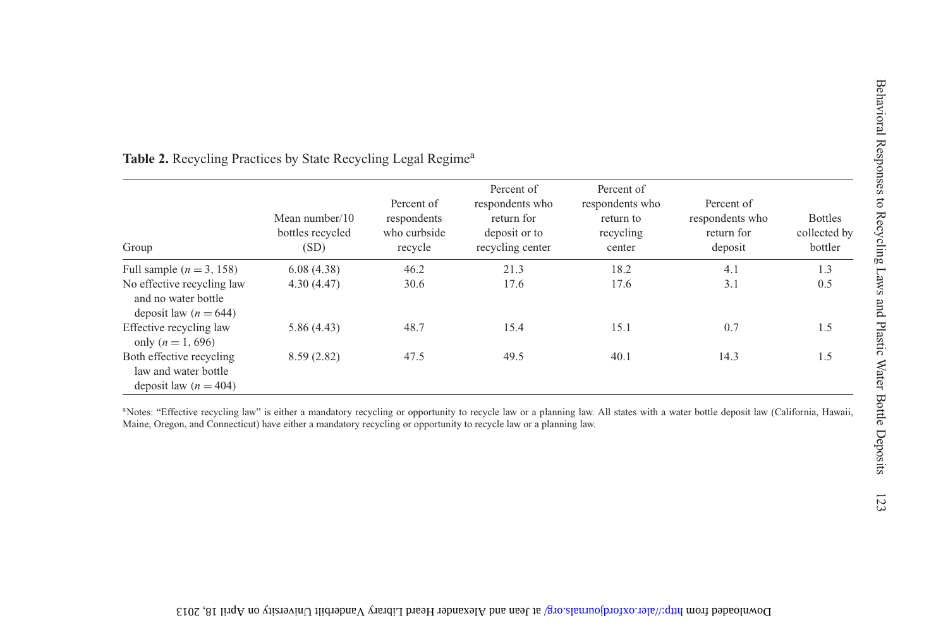<span id="page-13-0"></span>

| Group                                                                                                        | Mean number/10<br>bottles recycled<br>(SD) | Percent of<br>respondents<br>who curbside<br>recycle | Percent of<br>respondents who<br>return for<br>deposit or to<br>recycling center | Percent of<br>respondents who<br>return to<br>recycling<br>center | Percent of<br>respondents who<br>return for<br>deposit | <b>Bottles</b><br>collected by<br>bottler |
|--------------------------------------------------------------------------------------------------------------|--------------------------------------------|------------------------------------------------------|----------------------------------------------------------------------------------|-------------------------------------------------------------------|--------------------------------------------------------|-------------------------------------------|
| Full sample ( $n = 3$ , 158)<br>No effective recycling law<br>and no water bottle<br>deposit law $(n = 644)$ | 6.08(4.38)<br>4.30(4.47)                   | 46.2<br>30.6                                         | 21.3<br>17.6                                                                     | 18.2<br>17.6                                                      | 4.1<br>3.1                                             | 1.3<br>0.5                                |
| Effective recycling law<br>only ( $n = 1,696$ )                                                              | 5.86 (4.43)                                | 48.7                                                 | 15.4                                                                             | 15.1                                                              | 0.7                                                    | 1.5                                       |
| Both effective recycling<br>law and water bottle<br>deposit law $(n = 404)$                                  | 8.59 (2.82)                                | 47.5                                                 | 49.5                                                                             | 40.1                                                              | 14.3                                                   | 1.5                                       |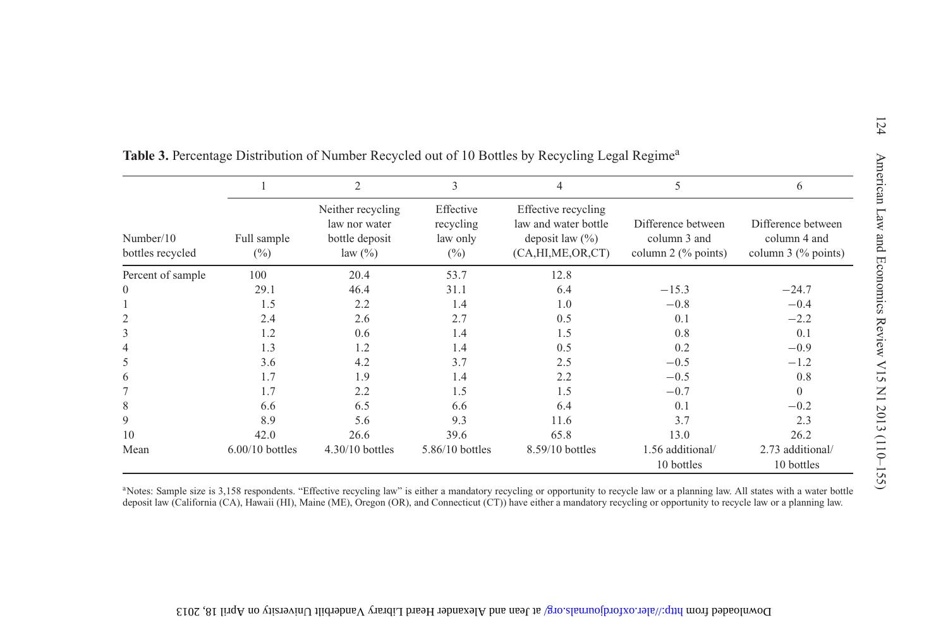|                               |                       | $\overline{2}$                                                     | 3                                            | 4                                                                                          | 5                                                           | 6                                                           |
|-------------------------------|-----------------------|--------------------------------------------------------------------|----------------------------------------------|--------------------------------------------------------------------------------------------|-------------------------------------------------------------|-------------------------------------------------------------|
| Number/10<br>bottles recycled | Full sample<br>$(\%)$ | Neither recycling<br>law nor water<br>bottle deposit<br>law $(\%)$ | Effective<br>recycling<br>law only<br>$(\%)$ | Effective recycling<br>law and water bottle<br>deposit law $(\% )$<br>(CA, HI, ME, OR, CT) | Difference between<br>column 3 and<br>column $2$ (% points) | Difference between<br>column 4 and<br>column $3$ (% points) |
| Percent of sample             | 100                   | 20.4                                                               | 53.7                                         | 12.8                                                                                       |                                                             |                                                             |
| $\theta$                      | 29.1                  | 46.4                                                               | 31.1                                         | 6.4                                                                                        | $-15.3$                                                     | $-24.7$                                                     |
|                               | 1.5                   | 2.2                                                                | 1.4                                          | 1.0                                                                                        | $-0.8$                                                      | $-0.4$                                                      |
| 2                             | 2.4                   | 2.6                                                                | 2.7                                          | 0.5                                                                                        | 0.1                                                         | $-2.2$                                                      |
| 3                             | 1.2                   | 0.6                                                                | 1.4                                          | 1.5                                                                                        | 0.8                                                         | 0.1                                                         |
| 4                             | 1.3                   | 1.2                                                                | 1.4                                          | 0.5                                                                                        | 0.2                                                         | $-0.9$                                                      |
| 5                             | 3.6                   | 4.2                                                                | 3.7                                          | 2.5                                                                                        | $-0.5$                                                      | $-1.2$                                                      |
| 6                             | 1.7                   | 1.9                                                                | 1.4                                          | 2.2                                                                                        | $-0.5$                                                      | 0.8                                                         |
|                               | 1.7                   | 2.2                                                                | 1.5                                          | 1.5                                                                                        | $-0.7$                                                      | $\theta$                                                    |
| 8                             | 6.6                   | 6.5                                                                | 6.6                                          | 6.4                                                                                        | 0.1                                                         | $-0.2$                                                      |
| 9                             | 8.9                   | 5.6                                                                | 9.3                                          | 11.6                                                                                       | 3.7                                                         | 2.3                                                         |
| 10                            | 42.0                  | 26.6                                                               | 39.6                                         | 65.8                                                                                       | 13.0                                                        | 26.2                                                        |
| Mean                          | $6.00/10$ bottles     | $4.30/10$ bottles                                                  | 5.86/10 bottles                              | 8.59/10 bottles                                                                            | 1.56 additional/<br>10 bottles                              | 2.73 additional/<br>10 bottles                              |

<span id="page-14-0"></span><sup>a</sup>Notes: Sample size is 3,158 respondents. "Effective recycling law" is either a mandatory recycling or opportunity to recycle law or a planning law. All states with a water bottle deposit law (California (CA), Hawaii (HI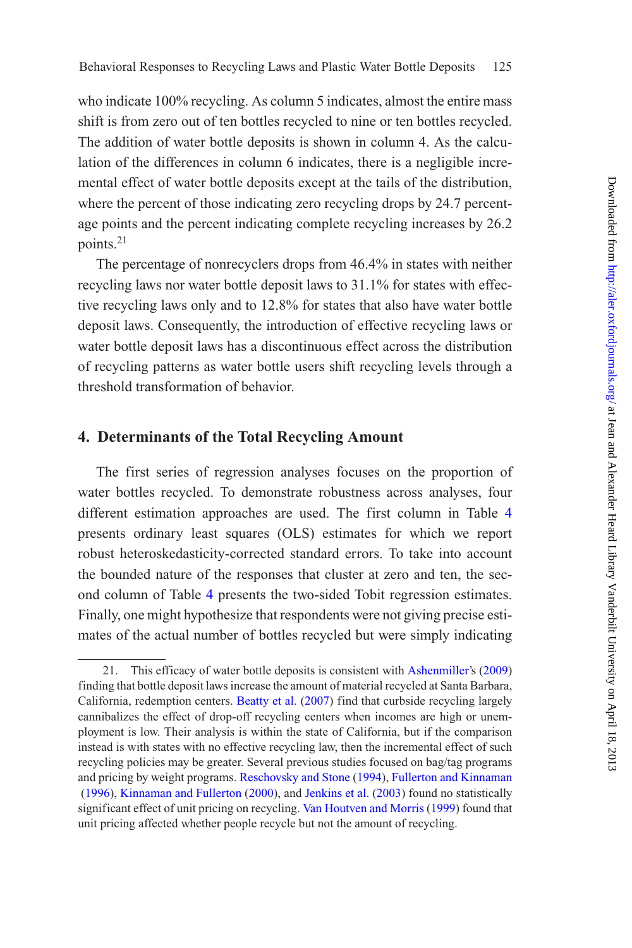who indicate 100% recycling. As column 5 indicates, almost the entire mass shift is from zero out of ten bottles recycled to nine or ten bottles recycled. The addition of water bottle deposits is shown in column 4. As the calculation of the differences in column 6 indicates, there is a negligible incremental effect of water bottle deposits except at the tails of the distribution, where the percent of those indicating zero recycling drops by 24.7 percentage points and the percent indicating complete recycling increases by 26.2 points.21

The percentage of nonrecyclers drops from 46.4% in states with neither recycling laws nor water bottle deposit laws to 31.1% for states with effective recycling laws only and to 12.8% for states that also have water bottle deposit laws. Consequently, the introduction of effective recycling laws or water bottle deposit laws has a discontinuous effect across the distribution of recycling patterns as water bottle users shift recycling levels through a threshold transformation of behavior.

## **4. Determinants of the Total Recycling Amount**

The first series of regression analyses focuses on the proportion of water bottles recycled. To demonstrate robustness across analyses, four different estimation approaches are used. The first column in Table [4](#page-16-0) presents ordinary least squares (OLS) estimates for which we report robust heteroskedasticity-corrected standard errors. To take into account the bounded nature of the responses that cluster at zero and ten, the second column of Table [4](#page-16-0) presents the two-sided Tobit regression estimates. Finally, one might hypothesize that respondents were not giving precise estimates of the actual number of bottles recycled but were simply indicating

<sup>21.</sup> This efficacy of water bottle deposits is consistent with [Ashenmiller](#page-43-1)'s [\(2009](#page-43-1)) finding that bottle deposit laws increase the amount of material recycled at Santa Barbara, California, redemption centers. [Beatty et al.](#page-43-2) [\(2007](#page-43-2)) find that curbside recycling largely cannibalizes the effect of drop-off recycling centers when incomes are high or unemployment is low. Their analysis is within the state of California, but if the comparison instead is with states with no effective recycling law, then the incremental effect of such recycling policies may be greater. Several previous studies focused on bag/tag programs [and pricing by weight programs.](#page-44-5) [Reschovsky and Stone](#page-44-10) [\(1994\)](#page-44-10), Fullerton and Kinnaman [\(1996](#page-44-5)), [Kinnaman and Fullerton](#page-44-8) [\(2000](#page-44-8)), and [Jenkins et al.](#page-44-4) [\(2003](#page-44-4)) found no statistically significant effect of unit pricing on recycling. [Van Houtven and Morris](#page-45-1) [\(1999](#page-45-1)) found that unit pricing affected whether people recycle but not the amount of recycling.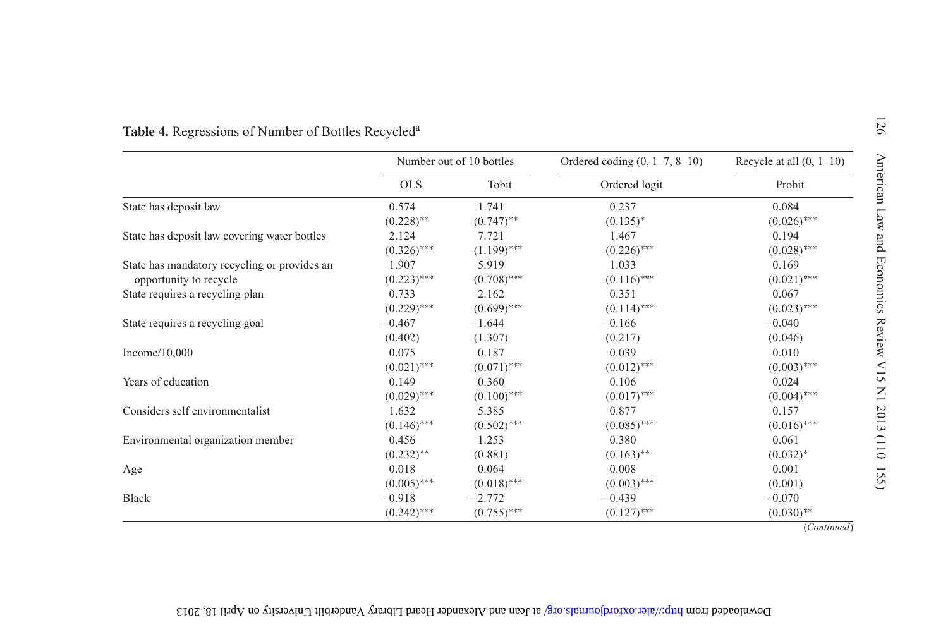|                                              |               | Number out of 10 bottles | Ordered coding $(0, 1-7, 8-10)$ | Recycle at all $(0, 1-10)$ |  |
|----------------------------------------------|---------------|--------------------------|---------------------------------|----------------------------|--|
|                                              | <b>OLS</b>    | Tobit                    | Ordered logit                   | Probit                     |  |
| State has deposit law                        | 0.574         | 1.741                    | 0.237                           | 0.084                      |  |
|                                              | $(0.228)$ **  | $(0.747)$ **             | $(0.135)^*$                     | $(0.026)$ ***              |  |
| State has deposit law covering water bottles | 2.124         | 7.721                    | 1.467                           | 0.194                      |  |
|                                              | $(0.326)$ *** | $(1.199)$ ***            | $(0.226)$ ***                   | $(0.028)$ ***              |  |
| State has mandatory recycling or provides an | 1.907         | 5.919                    | 1.033                           | 0.169                      |  |
| opportunity to recycle                       | $(0.223)$ *** | $(0.708)$ ***            | $(0.116)$ ***                   | $(0.021)$ ***              |  |
| State requires a recycling plan              | 0.733         | 2.162                    | 0.351                           | 0.067                      |  |
|                                              | $(0.229)$ *** | $(0.699)$ ***            | $(0.114)$ ***                   | $(0.023)$ ***              |  |
| State requires a recycling goal              | $-0.467$      | $-1.644$                 | $-0.166$                        | $-0.040$                   |  |
|                                              | (0.402)       | (1.307)                  | (0.217)                         | (0.046)                    |  |
| Income $/10,000$                             | 0.075         | 0.187                    | 0.039                           | 0.010                      |  |
|                                              | $(0.021)$ *** | $(0.071)$ ***            | $(0.012)$ ***                   | $(0.003)$ ***              |  |
| Years of education                           | 0.149         | 0.360                    | 0.106                           | 0.024                      |  |
|                                              | $(0.029)$ *** | $(0.100)$ ***            | $(0.017)$ ***                   | $(0.004)$ ***              |  |
| Considers self environmentalist              | 1.632         | 5.385                    | 0.877                           | 0.157                      |  |
|                                              | $(0.146)$ *** | $(0.502)$ ***            | $(0.085)$ ***                   | $(0.016)$ ***              |  |
| Environmental organization member            | 0.456         | 1.253                    | 0.380                           | 0.061                      |  |
|                                              | $(0.232)$ **  | (0.881)                  | $(0.163)$ **                    | $(0.032)^*$                |  |
| Age                                          | 0.018         | 0.064                    | 0.008                           | 0.001                      |  |
|                                              | $(0.005)$ *** | $(0.018)$ ***            | $(0.003)$ ***                   | (0.001)                    |  |
| <b>Black</b>                                 | $-0.918$      | $-2.772$                 | $-0.439$                        | $-0.070$                   |  |
|                                              | $(0.242)$ *** | $(0.755)$ ***            | $(0.127)$ ***                   | $(0.030)$ **               |  |

## <span id="page-16-0"></span>Download from http://alex.org/areardjournals.org/ at lean appear Heard Library Vanderbilt University to VpH 18, 2013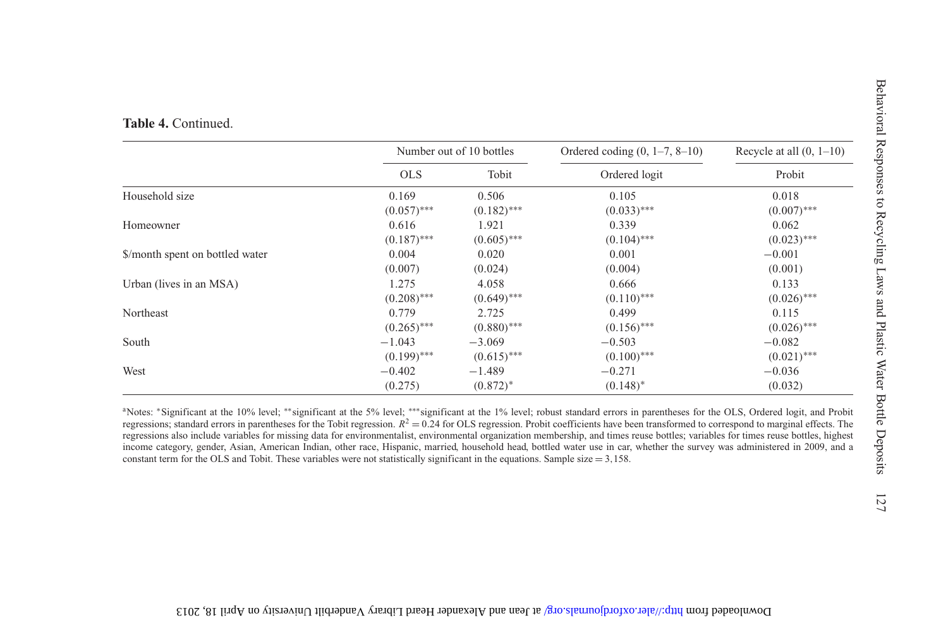|  | Table 4. Continued. |  |  |
|--|---------------------|--|--|
|--|---------------------|--|--|

|                                 |               | Number out of 10 bottles | Ordered coding $(0, 1-7, 8-10)$ | Recycle at all $(0, 1-10)$ |
|---------------------------------|---------------|--------------------------|---------------------------------|----------------------------|
|                                 | <b>OLS</b>    | Tobit                    | Ordered logit                   | Probit                     |
| Household size                  | 0.169         | 0.506                    | 0.105                           | 0.018                      |
|                                 | $(0.057)$ *** | $(0.182)$ ***            | $(0.033)$ ***                   | $(0.007)$ ***              |
| Homeowner                       | 0.616         | 1.921                    | 0.339                           | 0.062                      |
|                                 | $(0.187)$ *** | $(0.605)$ ***            | $(0.104)$ ***                   | $(0.023)$ ***              |
| \$/month spent on bottled water | 0.004         | 0.020                    | 0.001                           | $-0.001$                   |
|                                 | (0.007)       | (0.024)                  | (0.004)                         | (0.001)                    |
| Urban (lives in an MSA)         | 1.275         | 4.058                    | 0.666                           | 0.133                      |
|                                 | $(0.208)$ *** | $(0.649)$ ***            | $(0.110)$ ***                   | $(0.026)$ ***              |
| Northeast                       | 0.779         | 2.725                    | 0.499                           | 0.115                      |
|                                 | $(0.265)$ *** | $(0.880)$ ***            | $(0.156)$ ***                   | $(0.026)$ ***              |
| South                           | $-1.043$      | $-3.069$                 | $-0.503$                        | $-0.082$                   |
|                                 | $(0.199)$ *** | $(0.615)$ ***            | $(0.100)$ ***                   | $(0.021)$ ***              |
| West                            | $-0.402$      | $-1.489$                 | $-0.271$                        | $-0.036$                   |
|                                 | (0.275)       | $(0.872)^*$              | $(0.148)^*$                     | (0.032)                    |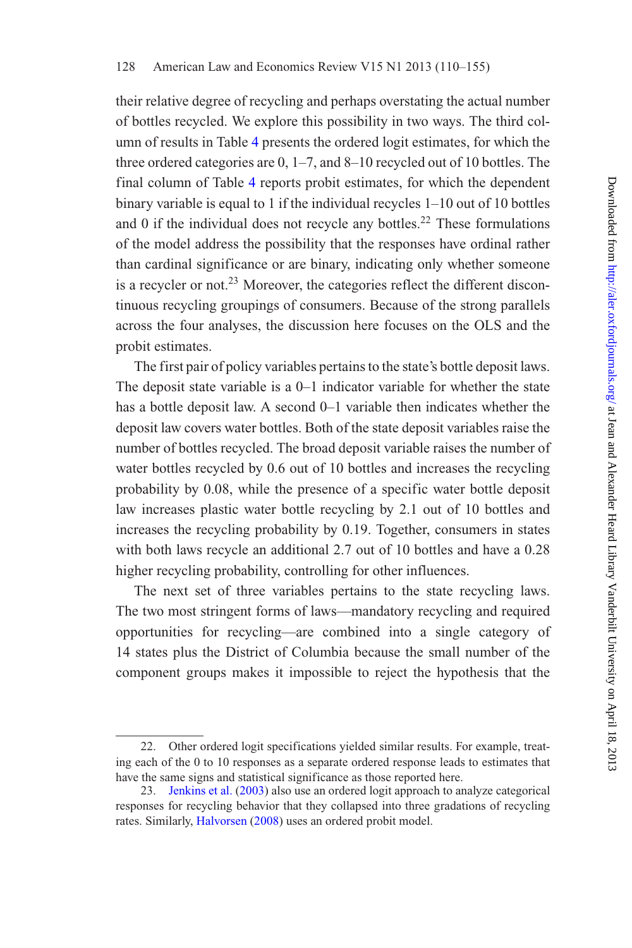their relative degree of recycling and perhaps overstating the actual number of bottles recycled. We explore this possibility in two ways. The third column of results in Table [4](#page-16-0) presents the ordered logit estimates, for which the three ordered categories are 0, 1–7, and 8–10 recycled out of 10 bottles. The final column of Table [4](#page-16-0) reports probit estimates, for which the dependent binary variable is equal to 1 if the individual recycles 1–10 out of 10 bottles and  $\theta$  if the individual does not recycle any bottles.<sup>22</sup> These formulations of the model address the possibility that the responses have ordinal rather than cardinal significance or are binary, indicating only whether someone is a recycler or not.<sup>23</sup> Moreover, the categories reflect the different discontinuous recycling groupings of consumers. Because of the strong parallels across the four analyses, the discussion here focuses on the OLS and the probit estimates.

The first pair of policy variables pertains to the state's bottle deposit laws. The deposit state variable is a 0–1 indicator variable for whether the state has a bottle deposit law. A second 0–1 variable then indicates whether the deposit law covers water bottles. Both of the state deposit variables raise the number of bottles recycled. The broad deposit variable raises the number of water bottles recycled by 0.6 out of 10 bottles and increases the recycling probability by 0.08, while the presence of a specific water bottle deposit law increases plastic water bottle recycling by 2.1 out of 10 bottles and increases the recycling probability by 0.19. Together, consumers in states with both laws recycle an additional 2.7 out of 10 bottles and have a 0.28 higher recycling probability, controlling for other influences.

The next set of three variables pertains to the state recycling laws. The two most stringent forms of laws—mandatory recycling and required opportunities for recycling—are combined into a single category of 14 states plus the District of Columbia because the small number of the component groups makes it impossible to reject the hypothesis that the

<sup>22.</sup> Other ordered logit specifications yielded similar results. For example, treating each of the 0 to 10 responses as a separate ordered response leads to estimates that have the same signs and statistical significance as those reported here.

<sup>23.</sup> [Jenkins et al.](#page-44-4) [\(2003\)](#page-44-4) also use an ordered logit approach to analyze categorical responses for recycling behavior that they collapsed into three gradations of recycling rates. Similarly, [Halvorsen](#page-44-13) [\(2008\)](#page-44-13) uses an ordered probit model.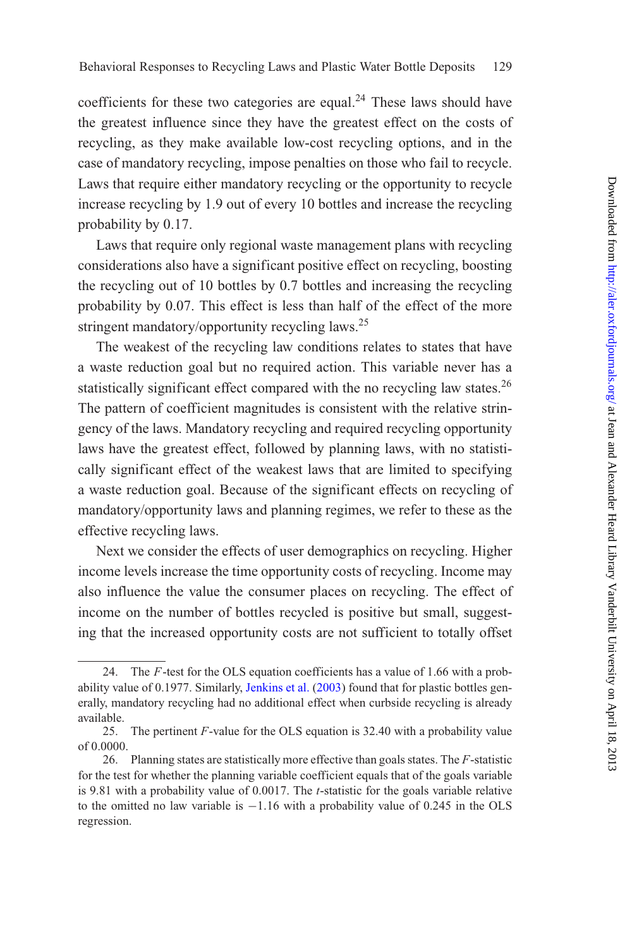coefficients for these two categories are equal.<sup>24</sup> These laws should have the greatest influence since they have the greatest effect on the costs of recycling, as they make available low-cost recycling options, and in the case of mandatory recycling, impose penalties on those who fail to recycle. Laws that require either mandatory recycling or the opportunity to recycle increase recycling by 1.9 out of every 10 bottles and increase the recycling probability by 0.17.

Laws that require only regional waste management plans with recycling considerations also have a significant positive effect on recycling, boosting the recycling out of 10 bottles by 0.7 bottles and increasing the recycling probability by 0.07. This effect is less than half of the effect of the more stringent mandatory/opportunity recycling laws.<sup>25</sup>

The weakest of the recycling law conditions relates to states that have a waste reduction goal but no required action. This variable never has a statistically significant effect compared with the no recycling law states.<sup>26</sup> The pattern of coefficient magnitudes is consistent with the relative stringency of the laws. Mandatory recycling and required recycling opportunity laws have the greatest effect, followed by planning laws, with no statistically significant effect of the weakest laws that are limited to specifying a waste reduction goal. Because of the significant effects on recycling of mandatory/opportunity laws and planning regimes, we refer to these as the effective recycling laws.

Next we consider the effects of user demographics on recycling. Higher income levels increase the time opportunity costs of recycling. Income may also influence the value the consumer places on recycling. The effect of income on the number of bottles recycled is positive but small, suggesting that the increased opportunity costs are not sufficient to totally offset

<sup>24.</sup> The *F*-test for the OLS equation coefficients has a value of 1.66 with a prob-ability value of 0.1977. Similarly, [Jenkins et al.](#page-44-4) [\(2003](#page-44-4)) found that for plastic bottles generally, mandatory recycling had no additional effect when curbside recycling is already available.

<sup>25.</sup> The pertinent *F*-value for the OLS equation is 32.40 with a probability value of 0.0000.

<sup>26.</sup> Planning states are statistically more effective than goals states. The *F*-statistic for the test for whether the planning variable coefficient equals that of the goals variable is 9.81 with a probability value of 0.0017. The *t*-statistic for the goals variable relative to the omitted no law variable is −1*.*16 with a probability value of 0.245 in the OLS regression.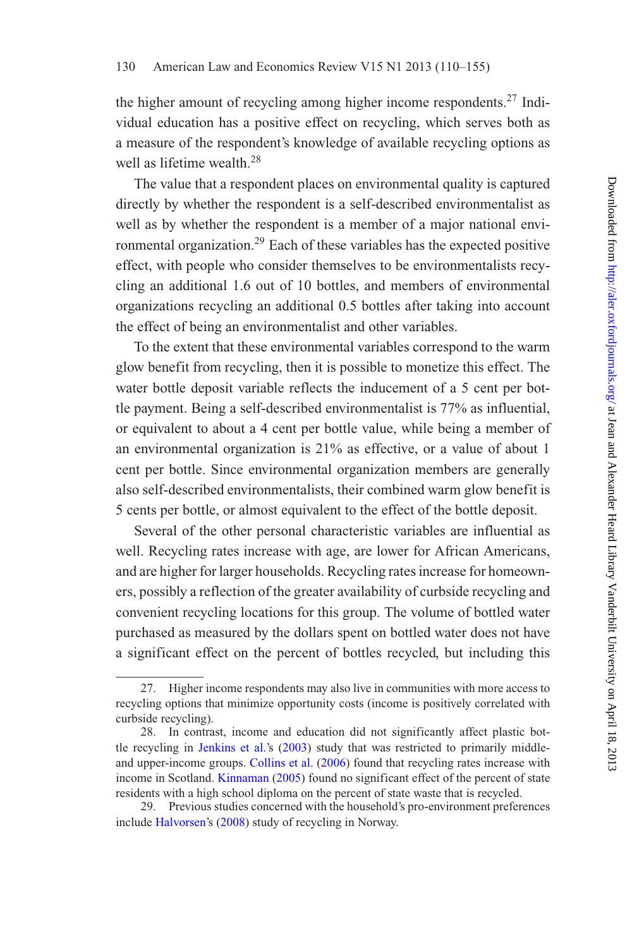the higher amount of recycling among higher income respondents.<sup>27</sup> Individual education has a positive effect on recycling, which serves both as a measure of the respondent's knowledge of available recycling options as well as lifetime wealth.<sup>28</sup>

The value that a respondent places on environmental quality is captured directly by whether the respondent is a self-described environmentalist as well as by whether the respondent is a member of a major national environmental organization.<sup>29</sup> Each of these variables has the expected positive effect, with people who consider themselves to be environmentalists recycling an additional 1.6 out of 10 bottles, and members of environmental organizations recycling an additional 0.5 bottles after taking into account the effect of being an environmentalist and other variables.

To the extent that these environmental variables correspond to the warm glow benefit from recycling, then it is possible to monetize this effect. The water bottle deposit variable reflects the inducement of a 5 cent per bottle payment. Being a self-described environmentalist is 77% as influential, or equivalent to about a 4 cent per bottle value, while being a member of an environmental organization is 21% as effective, or a value of about 1 cent per bottle. Since environmental organization members are generally also self-described environmentalists, their combined warm glow benefit is 5 cents per bottle, or almost equivalent to the effect of the bottle deposit.

Several of the other personal characteristic variables are influential as well. Recycling rates increase with age, are lower for African Americans, and are higher for larger households. Recycling rates increase for homeowners, possibly a reflection of the greater availability of curbside recycling and convenient recycling locations for this group. The volume of bottled water purchased as measured by the dollars spent on bottled water does not have a significant effect on the percent of bottles recycled, but including this

<sup>27.</sup> Higher income respondents may also live in communities with more access to recycling options that minimize opportunity costs (income is positively correlated with curbside recycling).

<sup>28.</sup> In contrast, income and education did not significantly affect plastic bottle recycling in [Jenkins et al.](#page-44-4)'s [\(2003](#page-44-4)) study that was restricted to primarily middle-and upper-income groups. [Collins et al.](#page-43-6) [\(2006](#page-43-6)) found that recycling rates increase with income in Scotland. [Kinnaman](#page-44-11) [\(2005\)](#page-44-11) found no significant effect of the percent of state residents with a high school diploma on the percent of state waste that is recycled.

<sup>29.</sup> Previous studies concerned with the household's pro-environment preferences include [Halvorsen'](#page-44-13)s [\(2008\)](#page-44-13) study of recycling in Norway.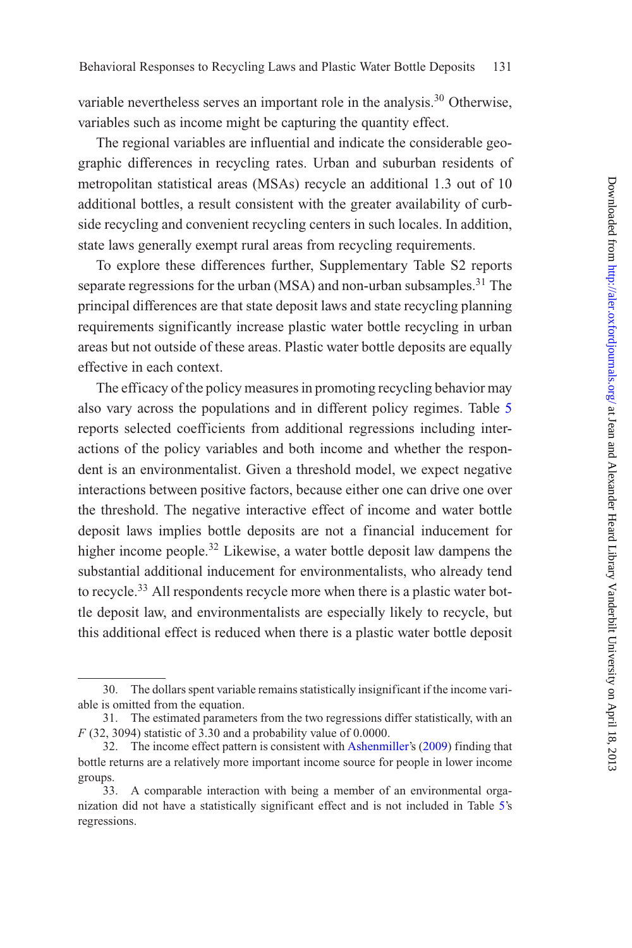variable nevertheless serves an important role in the analysis.<sup>30</sup> Otherwise, variables such as income might be capturing the quantity effect.

The regional variables are influential and indicate the considerable geographic differences in recycling rates. Urban and suburban residents of metropolitan statistical areas (MSAs) recycle an additional 1.3 out of 10 additional bottles, a result consistent with the greater availability of curbside recycling and convenient recycling centers in such locales. In addition, state laws generally exempt rural areas from recycling requirements.

To explore these differences further, Supplementary Table S2 reports separate regressions for the urban (MSA) and non-urban subsamples. $31$  The principal differences are that state deposit laws and state recycling planning requirements significantly increase plastic water bottle recycling in urban areas but not outside of these areas. Plastic water bottle deposits are equally effective in each context.

The efficacy of the policy measures in promoting recycling behavior may also vary across the populations and in different policy regimes. Table [5](#page-22-0) reports selected coefficients from additional regressions including interactions of the policy variables and both income and whether the respondent is an environmentalist. Given a threshold model, we expect negative interactions between positive factors, because either one can drive one over the threshold. The negative interactive effect of income and water bottle deposit laws implies bottle deposits are not a financial inducement for higher income people.<sup>32</sup> Likewise, a water bottle deposit law dampens the substantial additional inducement for environmentalists, who already tend to recycle.<sup>33</sup> All respondents recycle more when there is a plastic water bottle deposit law, and environmentalists are especially likely to recycle, but this additional effect is reduced when there is a plastic water bottle deposit

<sup>30.</sup> The dollars spent variable remains statistically insignificant if the income variable is omitted from the equation.

<sup>31.</sup> The estimated parameters from the two regressions differ statistically, with an *F* (32, 3094) statistic of 3.30 and a probability value of 0.0000.

<sup>32.</sup> The income effect pattern is consistent with [Ashenmiller](#page-43-1)'s [\(2009\)](#page-43-1) finding that bottle returns are a relatively more important income source for people in lower income groups.

<sup>33.</sup> A comparable interaction with being a member of an environmental organization did not have a statistically significant effect and is not included in Table [5'](#page-22-0)s regressions.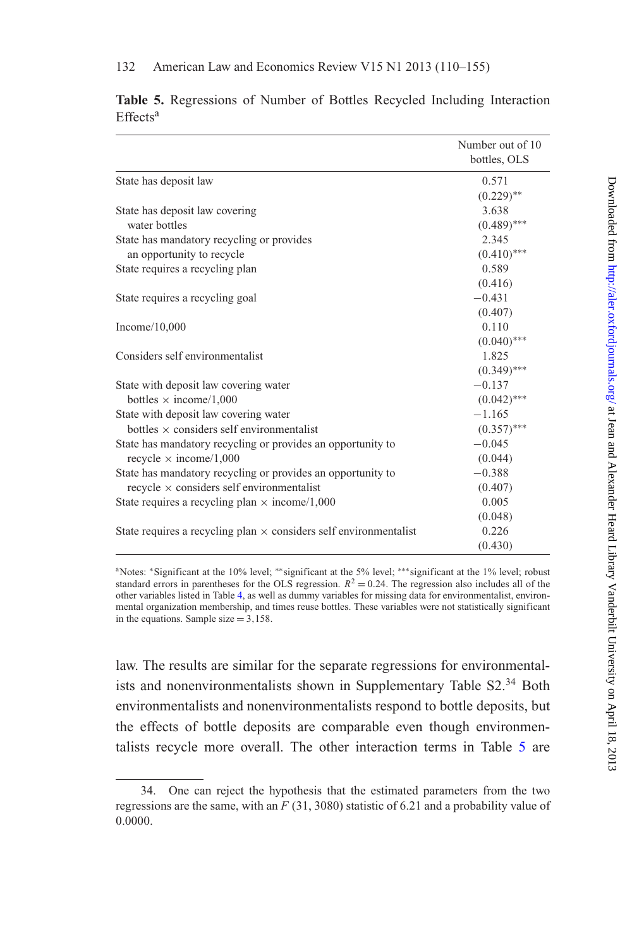|                                                                          | Number out of 10<br>bottles, OLS |
|--------------------------------------------------------------------------|----------------------------------|
| State has deposit law                                                    | 0.571                            |
|                                                                          | $(0.229)$ **                     |
| State has deposit law covering                                           | 3.638                            |
| water bottles                                                            | $(0.489)$ ***                    |
| State has mandatory recycling or provides                                | 2.345                            |
| an opportunity to recycle                                                | $(0.410)$ ***                    |
| State requires a recycling plan                                          | 0.589                            |
|                                                                          | (0.416)                          |
| State requires a recycling goal                                          | $-0.431$                         |
|                                                                          | (0.407)                          |
| Income $/10,000$                                                         | 0.110                            |
|                                                                          | $(0.040)$ ***                    |
| Considers self environmentalist                                          | 1.825                            |
|                                                                          | $(0.349)$ ***                    |
| State with deposit law covering water                                    | $-0.137$                         |
| bottles $\times$ income/1,000                                            | $(0.042)$ ***                    |
| State with deposit law covering water                                    | $-1.165$                         |
| bottles $\times$ considers self environmentalist                         | $(0.357)$ ***                    |
| State has mandatory recycling or provides an opportunity to              | $-0.045$                         |
| recycle $\times$ income/1,000                                            | (0.044)                          |
| State has mandatory recycling or provides an opportunity to              | $-0.388$                         |
| recycle $\times$ considers self environmentalist                         | (0.407)                          |
| State requires a recycling plan $\times$ income/1,000                    | 0.005                            |
|                                                                          | (0.048)                          |
| State requires a recycling plan $\times$ considers self environmentalist | 0.226                            |
|                                                                          | (0.430)                          |

<span id="page-22-0"></span>**Table 5.** Regressions of Number of Bottles Recycled Including Interaction Effects<sup>a</sup>

aNotes: <sup>∗</sup>Significant at the 10% level; ∗∗significant at the 5% level; ∗∗∗significant at the 1% level; robust standard errors in parentheses for the OLS regression.  $R^2 = 0.24$ . The regression also includes all of the other variables listed in Table [4,](#page-16-0) as well as dummy variables for missing data for environmentalist, environmental organization membership, and times reuse bottles. These variables were not statistically significant in the equations. Sample size = 3*,*158.

law. The results are similar for the separate regressions for environmentalists and nonenvironmentalists shown in Supplementary Table S2.<sup>34</sup> Both environmentalists and nonenvironmentalists respond to bottle deposits, but the effects of bottle deposits are comparable even though environmentalists recycle more overall. The other interaction terms in Table [5](#page-22-0) are

<sup>34.</sup> One can reject the hypothesis that the estimated parameters from the two regressions are the same, with an *F* (31, 3080) statistic of 6.21 and a probability value of 0.0000.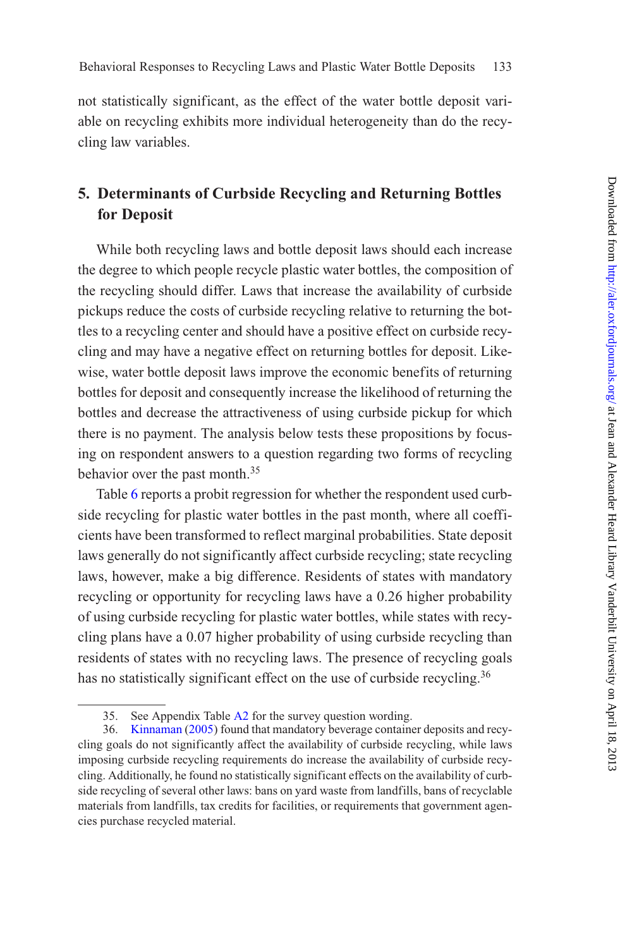not statistically significant, as the effect of the water bottle deposit variable on recycling exhibits more individual heterogeneity than do the recycling law variables.

## **5. Determinants of Curbside Recycling and Returning Bottles for Deposit**

While both recycling laws and bottle deposit laws should each increase the degree to which people recycle plastic water bottles, the composition of the recycling should differ. Laws that increase the availability of curbside pickups reduce the costs of curbside recycling relative to returning the bottles to a recycling center and should have a positive effect on curbside recycling and may have a negative effect on returning bottles for deposit. Likewise, water bottle deposit laws improve the economic benefits of returning bottles for deposit and consequently increase the likelihood of returning the bottles and decrease the attractiveness of using curbside pickup for which there is no payment. The analysis below tests these propositions by focusing on respondent answers to a question regarding two forms of recycling behavior over the past month.<sup>35</sup>

Table [6](#page-24-0) reports a probit regression for whether the respondent used curbside recycling for plastic water bottles in the past month, where all coefficients have been transformed to reflect marginal probabilities. State deposit laws generally do not significantly affect curbside recycling; state recycling laws, however, make a big difference. Residents of states with mandatory recycling or opportunity for recycling laws have a 0.26 higher probability of using curbside recycling for plastic water bottles, while states with recycling plans have a 0.07 higher probability of using curbside recycling than residents of states with no recycling laws. The presence of recycling goals has no statistically significant effect on the use of curbside recycling.<sup>36</sup>

<sup>35.</sup> See Appendix Table [A2](#page-13-0) for the survey question wording.

<sup>36.</sup> [Kinnaman](#page-44-11) [\(2005](#page-44-11)) found that mandatory beverage container deposits and recycling goals do not significantly affect the availability of curbside recycling, while laws imposing curbside recycling requirements do increase the availability of curbside recycling. Additionally, he found no statistically significant effects on the availability of curbside recycling of several other laws: bans on yard waste from landfills, bans of recyclable materials from landfills, tax credits for facilities, or requirements that government agencies purchase recycled material.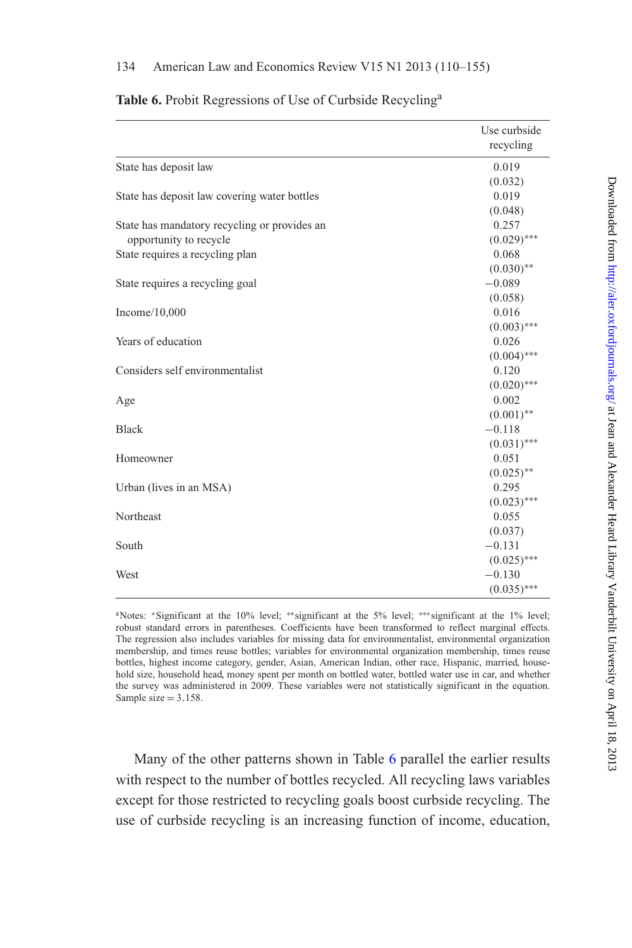|                                              | Use curbside<br>recycling |
|----------------------------------------------|---------------------------|
| State has deposit law                        | 0.019                     |
|                                              | (0.032)                   |
| State has deposit law covering water bottles | 0.019                     |
|                                              | (0.048)                   |
| State has mandatory recycling or provides an | 0.257                     |
| opportunity to recycle                       | $(0.029)$ ***             |
| State requires a recycling plan              | 0.068                     |
|                                              | $(0.030)$ **              |
| State requires a recycling goal              | $-0.089$                  |
|                                              | (0.058)                   |
| Income $/10,000$                             | 0.016                     |
|                                              | $(0.003)$ ***             |
| Years of education                           | 0.026                     |
|                                              | $(0.004)$ ***             |
| Considers self environmentalist              | 0.120                     |
|                                              | $(0.020)$ ***             |
| Age                                          | 0.002                     |
|                                              | $(0.001)$ **              |
| Black                                        | $-0.118$                  |
|                                              | $(0.031)$ ***             |
| Homeowner                                    | 0.051                     |
|                                              | $(0.025)$ **              |
| Urban (lives in an MSA)                      | 0.295                     |
|                                              | $(0.023)$ ***             |
| Northeast                                    | 0.055                     |
|                                              | (0.037)                   |
| South                                        | $-0.131$                  |
|                                              | $(0.025)$ ***             |
| West                                         | $-0.130$                  |
|                                              | $(0.035)$ ***             |

<span id="page-24-0"></span>**Table 6.** Probit Regressions of Use of Curbside Recyclinga

Many of the other patterns shown in Table [6](#page-24-0) parallel the earlier results with respect to the number of bottles recycled. All recycling laws variables except for those restricted to recycling goals boost curbside recycling. The use of curbside recycling is an increasing function of income, education,

aNotes: <sup>∗</sup>Significant at the 10% level; ∗∗significant at the 5% level; ∗∗∗significant at the 1% level; robust standard errors in parentheses. Coefficients have been transformed to reflect marginal effects. The regression also includes variables for missing data for environmentalist, environmental organization membership, and times reuse bottles; variables for environmental organization membership, times reuse bottles, highest income category, gender, Asian, American Indian, other race, Hispanic, married, household size, household head, money spent per month on bottled water, bottled water use in car, and whether the survey was administered in 2009. These variables were not statistically significant in the equation. Sample size = 3*,*158.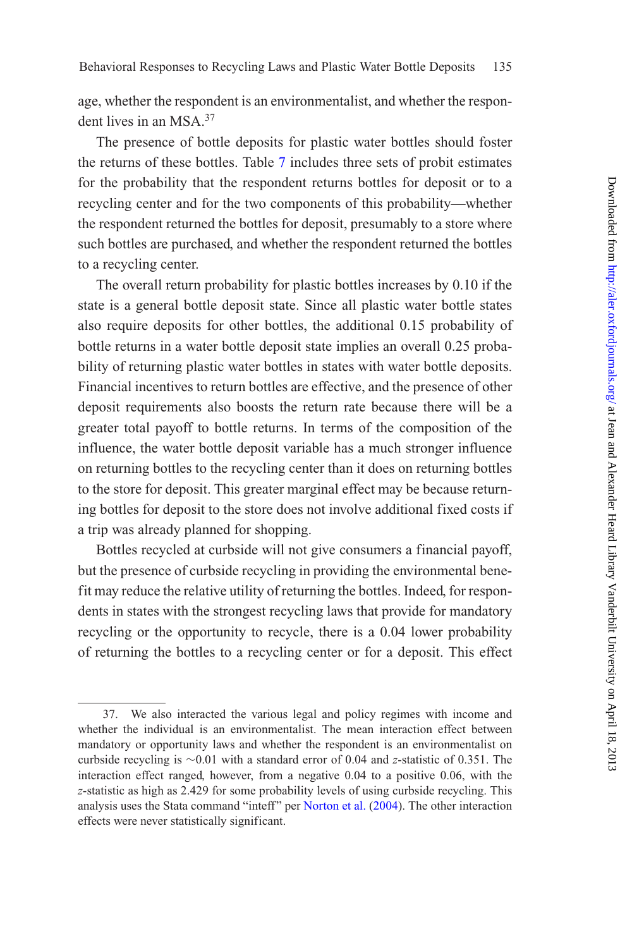age, whether the respondent is an environmentalist, and whether the respondent lives in an MSA.37

The presence of bottle deposits for plastic water bottles should foster the returns of these bottles. Table [7](#page-26-0) includes three sets of probit estimates for the probability that the respondent returns bottles for deposit or to a recycling center and for the two components of this probability—whether the respondent returned the bottles for deposit, presumably to a store where such bottles are purchased, and whether the respondent returned the bottles to a recycling center.

The overall return probability for plastic bottles increases by 0.10 if the state is a general bottle deposit state. Since all plastic water bottle states also require deposits for other bottles, the additional 0.15 probability of bottle returns in a water bottle deposit state implies an overall 0.25 probability of returning plastic water bottles in states with water bottle deposits. Financial incentives to return bottles are effective, and the presence of other deposit requirements also boosts the return rate because there will be a greater total payoff to bottle returns. In terms of the composition of the influence, the water bottle deposit variable has a much stronger influence on returning bottles to the recycling center than it does on returning bottles to the store for deposit. This greater marginal effect may be because returning bottles for deposit to the store does not involve additional fixed costs if a trip was already planned for shopping.

Bottles recycled at curbside will not give consumers a financial payoff, but the presence of curbside recycling in providing the environmental benefit may reduce the relative utility of returning the bottles. Indeed, for respondents in states with the strongest recycling laws that provide for mandatory recycling or the opportunity to recycle, there is a 0.04 lower probability of returning the bottles to a recycling center or for a deposit. This effect

<sup>37.</sup> We also interacted the various legal and policy regimes with income and whether the individual is an environmentalist. The mean interaction effect between mandatory or opportunity laws and whether the respondent is an environmentalist on curbside recycling is ∼0.01 with a standard error of 0.04 and *z*-statistic of 0.351. The interaction effect ranged, however, from a negative 0.04 to a positive 0.06, with the *z*-statistic as high as 2.429 for some probability levels of using curbside recycling. This analysis uses the Stata command "inteff" per [Norton et al.](#page-44-14) [\(2004](#page-44-14)). The other interaction effects were never statistically significant.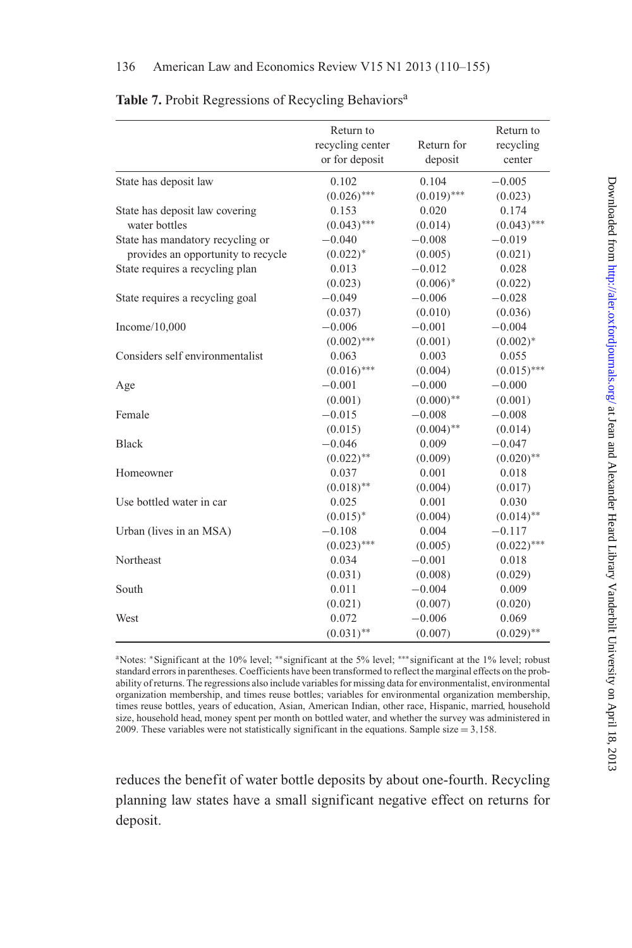|                                    | Return to<br>recycling center<br>or for deposit | Return for<br>deposit | Return to<br>recycling<br>center |
|------------------------------------|-------------------------------------------------|-----------------------|----------------------------------|
| State has deposit law              | 0.102                                           | 0.104                 | $-0.005$                         |
|                                    | $(0.026)$ ***                                   | $(0.019)$ ***         | (0.023)                          |
| State has deposit law covering     | 0.153                                           | 0.020                 | 0.174                            |
| water bottles                      | $(0.043)$ ***                                   | (0.014)               | $(0.043)$ ***                    |
| State has mandatory recycling or   | $-0.040$                                        | $-0.008$              | $-0.019$                         |
| provides an opportunity to recycle | $(0.022)^*$                                     | (0.005)               | (0.021)                          |
| State requires a recycling plan    | 0.013                                           | $-0.012$              | 0.028                            |
|                                    | (0.023)                                         | $(0.006)^*$           | (0.022)                          |
| State requires a recycling goal    | $-0.049$                                        | $-0.006$              | $-0.028$                         |
|                                    | (0.037)                                         | (0.010)               | (0.036)                          |
| Income $/10,000$                   | $-0.006$                                        | $-0.001$              | $-0.004$                         |
|                                    | $(0.002)$ ***                                   | (0.001)               | $(0.002)^*$                      |
| Considers self environmentalist    | 0.063                                           | 0.003                 | 0.055                            |
|                                    | $(0.016)$ ***                                   | (0.004)               | $(0.015)$ ***                    |
| Age                                | $-0.001$                                        | $-0.000$              | $-0.000$                         |
|                                    | (0.001)                                         | $(0.000)$ **          | (0.001)                          |
| Female                             | $-0.015$                                        | $-0.008$              | $-0.008$                         |
|                                    | (0.015)                                         | $(0.004)$ **          | (0.014)                          |
| <b>Black</b>                       | $-0.046$                                        | 0.009                 | $-0.047$                         |
|                                    | $(0.022)$ **                                    | (0.009)               | $(0.020)$ **                     |
| Homeowner                          | 0.037                                           | 0.001                 | 0.018                            |
|                                    | $(0.018)$ **                                    | (0.004)               | (0.017)                          |
| Use bottled water in car           | 0.025                                           | 0.001                 | 0.030                            |
|                                    | $(0.015)^*$                                     | (0.004)               | $(0.014)$ **                     |
| Urban (lives in an MSA)            | $-0.108$                                        | 0.004                 | $-0.117$                         |
|                                    | $(0.023)$ ***                                   | (0.005)               | $(0.022)$ ***                    |
| Northeast                          | 0.034                                           | $-0.001$              | 0.018                            |
|                                    | (0.031)                                         | (0.008)               | (0.029)                          |
| South                              | 0.011                                           | $-0.004$              | 0.009                            |
|                                    | (0.021)                                         | (0.007)               | (0.020)                          |
| West                               | 0.072                                           | $-0.006$              | 0.069                            |
|                                    | $(0.031)$ **                                    | (0.007)               | $(0.029)$ **                     |

## <span id="page-26-0"></span>Table 7. Probit Regressions of Recycling Behaviors<sup>a</sup>

aNotes: <sup>∗</sup>Significant at the 10% level; ∗∗significant at the 5% level; ∗∗∗significant at the 1% level; robust standard errors in parentheses. Coefficients have been transformed to reflect the marginal effects on the probability of returns. The regressions also include variables for missing data for environmentalist, environmental organization membership, and times reuse bottles; variables for environmental organization membership, times reuse bottles, years of education, Asian, American Indian, other race, Hispanic, married, household size, household head, money spent per month on bottled water, and whether the survey was administered in 2009. These variables were not statistically significant in the equations. Sample size = 3*,*158.

reduces the benefit of water bottle deposits by about one-fourth. Recycling planning law states have a small significant negative effect on returns for deposit.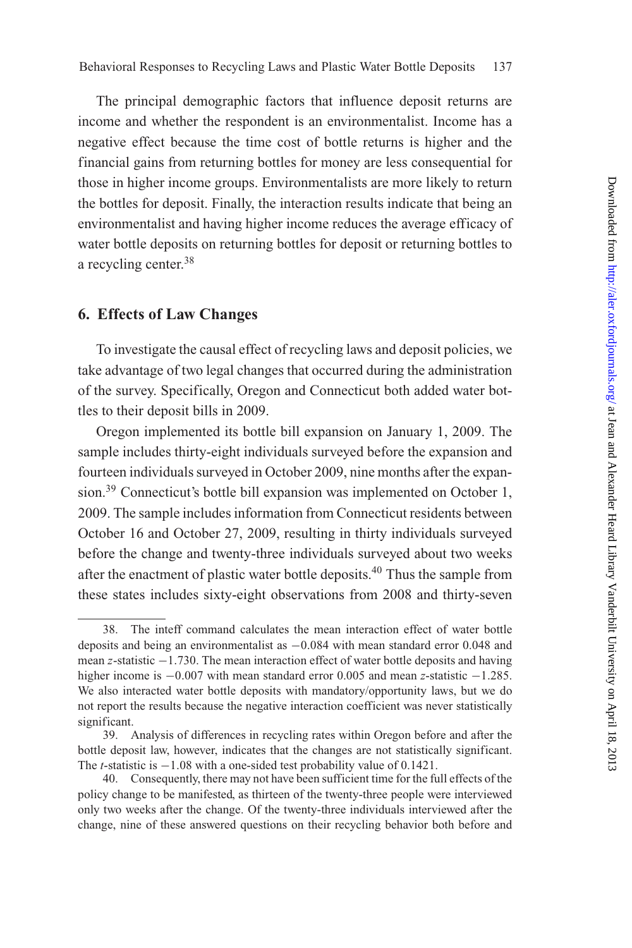The principal demographic factors that influence deposit returns are income and whether the respondent is an environmentalist. Income has a negative effect because the time cost of bottle returns is higher and the financial gains from returning bottles for money are less consequential for those in higher income groups. Environmentalists are more likely to return the bottles for deposit. Finally, the interaction results indicate that being an environmentalist and having higher income reduces the average efficacy of water bottle deposits on returning bottles for deposit or returning bottles to a recycling center.<sup>38</sup>

## **6. Effects of Law Changes**

To investigate the causal effect of recycling laws and deposit policies, we take advantage of two legal changes that occurred during the administration of the survey. Specifically, Oregon and Connecticut both added water bottles to their deposit bills in 2009.

Oregon implemented its bottle bill expansion on January 1, 2009. The sample includes thirty-eight individuals surveyed before the expansion and fourteen individuals surveyed in October 2009, nine months after the expansion.<sup>39</sup> Connecticut's bottle bill expansion was implemented on October 1, 2009. The sample includes information from Connecticut residents between October 16 and October 27, 2009, resulting in thirty individuals surveyed before the change and twenty-three individuals surveyed about two weeks after the enactment of plastic water bottle deposits.40 Thus the sample from these states includes sixty-eight observations from 2008 and thirty-seven

<sup>38.</sup> The inteff command calculates the mean interaction effect of water bottle deposits and being an environmentalist as −0*.*084 with mean standard error 0.048 and mean *z*-statistic −1.730. The mean interaction effect of water bottle deposits and having higher income is −0*.*007 with mean standard error 0.005 and mean *z*-statistic −1*.*285. We also interacted water bottle deposits with mandatory/opportunity laws, but we do not report the results because the negative interaction coefficient was never statistically significant.

<sup>39.</sup> Analysis of differences in recycling rates within Oregon before and after the bottle deposit law, however, indicates that the changes are not statistically significant. The *t*-statistic is −1*.*08 with a one-sided test probability value of 0.1421.

<sup>40.</sup> Consequently, there may not have been sufficient time for the full effects of the policy change to be manifested, as thirteen of the twenty-three people were interviewed only two weeks after the change. Of the twenty-three individuals interviewed after the change, nine of these answered questions on their recycling behavior both before and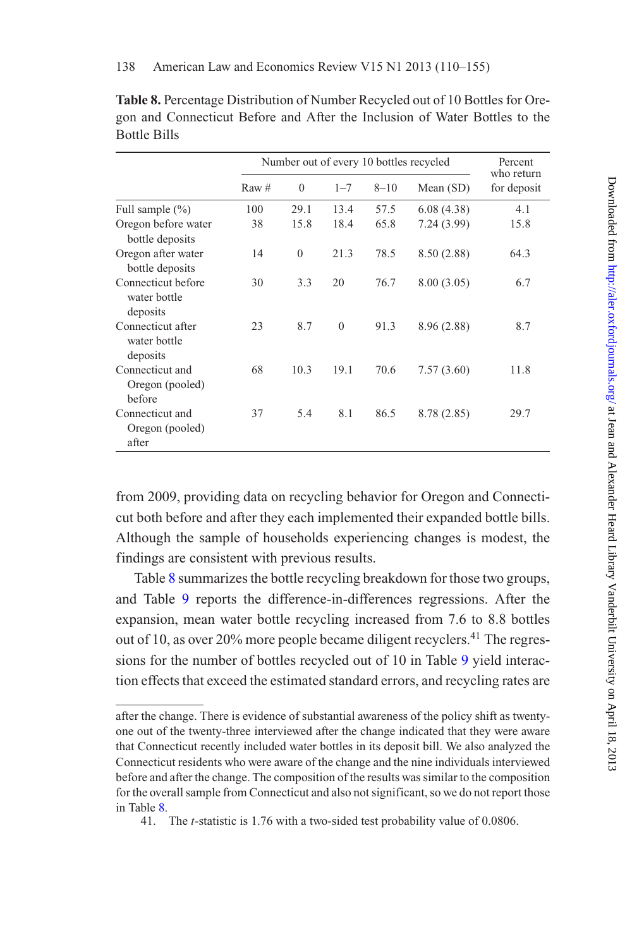|                                                | Number out of every 10 bottles recycled |              |              |          |             | Percent<br>who return |
|------------------------------------------------|-----------------------------------------|--------------|--------------|----------|-------------|-----------------------|
|                                                | Raw #                                   | $\theta$     | $1 - 7$      | $8 - 10$ | Mean $(SD)$ | for deposit           |
| Full sample $(\% )$                            | 100                                     | 29.1         | 13.4         | 57.5     | 6.08(4.38)  | 4.1                   |
| Oregon before water<br>bottle deposits         | 38                                      | 15.8         | 18.4         | 65.8     | 7.24 (3.99) | 15.8                  |
| Oregon after water<br>bottle deposits          | 14                                      | $\mathbf{0}$ | 21.3         | 78.5     | 8.50 (2.88) | 64.3                  |
| Connecticut before<br>water bottle<br>deposits | 30                                      | 3.3          | 20           | 76.7     | 8.00(3.05)  | 6.7                   |
| Connecticut after<br>water bottle<br>deposits  | 23                                      | 8.7          | $\mathbf{0}$ | 91.3     | 8.96 (2.88) | 8.7                   |
| Connecticut and<br>Oregon (pooled)<br>before   | 68                                      | 10.3         | 19.1         | 70.6     | 7.57(3.60)  | 11.8                  |
| Connecticut and<br>Oregon (pooled)<br>after    | 37                                      | 5.4          | 8.1          | 86.5     | 8.78 (2.85) | 29.7                  |

<span id="page-28-0"></span>**Table 8.** Percentage Distribution of Number Recycled out of 10 Bottles for Oregon and Connecticut Before and After the Inclusion of Water Bottles to the Bottle Bills

from 2009, providing data on recycling behavior for Oregon and Connecticut both before and after they each implemented their expanded bottle bills. Although the sample of households experiencing changes is modest, the findings are consistent with previous results.

Table [8](#page-28-0) summarizes the bottle recycling breakdown for those two groups, and Table [9](#page-29-0) reports the difference-in-differences regressions. After the expansion, mean water bottle recycling increased from 7.6 to 8.8 bottles out of 10, as over 20% more people became diligent recyclers.<sup>41</sup> The regressions for the number of bottles recycled out of 10 in Table [9](#page-29-0) yield interaction effects that exceed the estimated standard errors, and recycling rates are

after the change. There is evidence of substantial awareness of the policy shift as twentyone out of the twenty-three interviewed after the change indicated that they were aware that Connecticut recently included water bottles in its deposit bill. We also analyzed the Connecticut residents who were aware of the change and the nine individuals interviewed before and after the change. The composition of the results was similar to the composition for the overall sample from Connecticut and also not significant, so we do not report those in Table [8.](#page-28-0)

<sup>41.</sup> The *t*-statistic is 1.76 with a two-sided test probability value of 0.0806.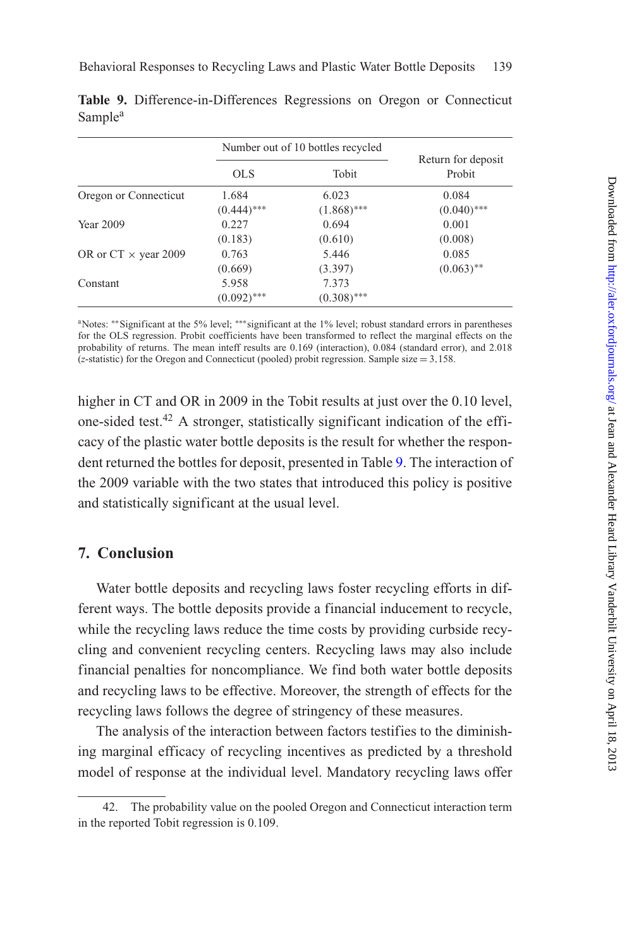|                             |               | Number out of 10 bottles recycled |                              |
|-----------------------------|---------------|-----------------------------------|------------------------------|
|                             | OLS           | Tobit                             | Return for deposit<br>Probit |
| Oregon or Connecticut       | 1.684         | 6.023                             | 0.084                        |
|                             | $(0.444)$ *** | $(1.868)$ ***                     | $(0.040)$ ***                |
| <b>Year 2009</b>            | 0.227         | 0.694                             | 0.001                        |
|                             | (0.183)       | (0.610)                           | (0.008)                      |
| OR or $CT \times$ year 2009 | 0.763         | 5.446                             | 0.085                        |
|                             | (0.669)       | (3.397)                           | $(0.063)$ **                 |
| Constant                    | 5.958         | 7.373                             |                              |
|                             | $(0.092)$ *** | $(0.308)$ ***                     |                              |

<span id="page-29-0"></span>**Table 9.** Difference-in-Differences Regressions on Oregon or Connecticut Sample<sup>a</sup>

aNotes: ∗∗Significant at the 5% level; ∗∗∗significant at the 1% level; robust standard errors in parentheses for the OLS regression. Probit coefficients have been transformed to reflect the marginal effects on the probability of returns. The mean inteff results are 0.169 (interaction), 0.084 (standard error), and 2.018 (*z*-statistic) for the Oregon and Connecticut (pooled) probit regression. Sample size = 3*,*158.

higher in CT and OR in 2009 in the Tobit results at just over the 0.10 level, one-sided test.<sup>42</sup> A stronger, statistically significant indication of the efficacy of the plastic water bottle deposits is the result for whether the respondent returned the bottles for deposit, presented in Table [9.](#page-29-0) The interaction of the 2009 variable with the two states that introduced this policy is positive and statistically significant at the usual level.

## **7. Conclusion**

Water bottle deposits and recycling laws foster recycling efforts in different ways. The bottle deposits provide a financial inducement to recycle, while the recycling laws reduce the time costs by providing curbside recycling and convenient recycling centers. Recycling laws may also include financial penalties for noncompliance. We find both water bottle deposits and recycling laws to be effective. Moreover, the strength of effects for the recycling laws follows the degree of stringency of these measures.

The analysis of the interaction between factors testifies to the diminishing marginal efficacy of recycling incentives as predicted by a threshold model of response at the individual level. Mandatory recycling laws offer

<sup>42.</sup> The probability value on the pooled Oregon and Connecticut interaction term in the reported Tobit regression is 0.109.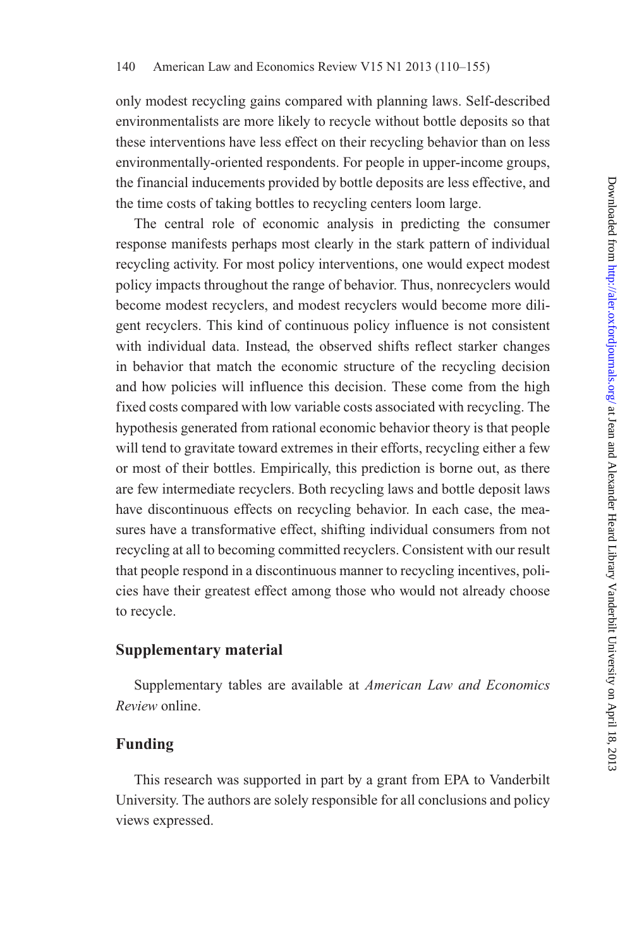only modest recycling gains compared with planning laws. Self-described environmentalists are more likely to recycle without bottle deposits so that these interventions have less effect on their recycling behavior than on less environmentally-oriented respondents. For people in upper-income groups, the financial inducements provided by bottle deposits are less effective, and the time costs of taking bottles to recycling centers loom large.

The central role of economic analysis in predicting the consumer response manifests perhaps most clearly in the stark pattern of individual recycling activity. For most policy interventions, one would expect modest policy impacts throughout the range of behavior. Thus, nonrecyclers would become modest recyclers, and modest recyclers would become more diligent recyclers. This kind of continuous policy influence is not consistent with individual data. Instead, the observed shifts reflect starker changes in behavior that match the economic structure of the recycling decision and how policies will influence this decision. These come from the high fixed costs compared with low variable costs associated with recycling. The hypothesis generated from rational economic behavior theory is that people will tend to gravitate toward extremes in their efforts, recycling either a few or most of their bottles. Empirically, this prediction is borne out, as there are few intermediate recyclers. Both recycling laws and bottle deposit laws have discontinuous effects on recycling behavior. In each case, the measures have a transformative effect, shifting individual consumers from not recycling at all to becoming committed recyclers. Consistent with our result that people respond in a discontinuous manner to recycling incentives, policies have their greatest effect among those who would not already choose to recycle.

## **Supplementary material**

Supplementary tables are available at *American Law and Economics Review* online.

## **Funding**

This research was supported in part by a grant from EPA to Vanderbilt University. The authors are solely responsible for all conclusions and policy views expressed.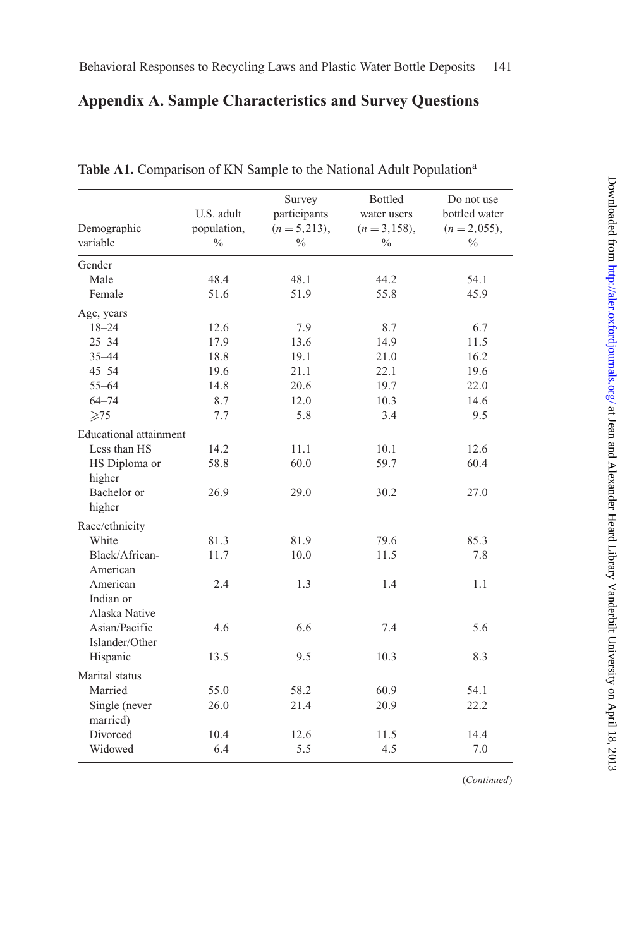## **Appendix A. Sample Characteristics and Survey Questions**

| Demographic                   | U.S. adult<br>population, | Survey<br>participants<br>$(n = 5,213),$ | Bottled<br>water users<br>$(n = 3, 158),$ | Do not use<br>bottled water<br>$(n = 2,055),$ |
|-------------------------------|---------------------------|------------------------------------------|-------------------------------------------|-----------------------------------------------|
| variable                      | $\frac{0}{0}$             | $\frac{0}{0}$                            | $\frac{0}{0}$                             | $\frac{0}{0}$                                 |
| Gender                        |                           |                                          |                                           |                                               |
| Male                          | 48.4                      | 48.1                                     | 44.2                                      | 54.1                                          |
| Female                        | 51.6                      | 51.9                                     | 55.8                                      | 45.9                                          |
| Age, years                    |                           |                                          |                                           |                                               |
| $18 - 24$                     | 12.6                      | 7.9                                      | 8.7                                       | 6.7                                           |
| $25 - 34$                     | 17.9                      | 13.6                                     | 14.9                                      | 11.5                                          |
| $35 - 44$                     | 18.8                      | 19.1                                     | 21.0                                      | 16.2                                          |
| $45 - 54$                     | 19.6                      | 21.1                                     | 22.1                                      | 19.6                                          |
| $55 - 64$                     | 14.8                      | 20.6                                     | 19.7                                      | 22.0                                          |
| $64 - 74$                     | 8.7                       | 12.0                                     | 10.3                                      | 14.6                                          |
| $\geqslant$ 75                | 7.7                       | 5.8                                      | 3.4                                       | 9.5                                           |
| <b>Educational</b> attainment |                           |                                          |                                           |                                               |
| Less than HS                  | 14.2                      | 11.1                                     | 10.1                                      | 12.6                                          |
| HS Diploma or                 | 58.8                      | 60.0                                     | 59.7                                      | 60.4                                          |
| higher                        |                           |                                          |                                           |                                               |
| Bachelor or                   | 26.9                      | 29.0                                     | 30.2                                      | 27.0                                          |
| higher                        |                           |                                          |                                           |                                               |
| Race/ethnicity                |                           |                                          |                                           |                                               |
| White                         | 81.3                      | 81.9                                     | 79.6                                      | 85.3                                          |
| Black/African-                | 11.7                      | 10.0                                     | 11.5                                      | 7.8                                           |
| American                      |                           |                                          |                                           |                                               |
| American                      | 2.4                       | 1.3                                      | 1.4                                       | 1.1                                           |
| Indian or                     |                           |                                          |                                           |                                               |
| Alaska Native                 |                           |                                          |                                           |                                               |
| Asian/Pacific                 | 4.6                       | 6.6                                      | 7.4                                       | 5.6                                           |
| Islander/Other                |                           |                                          |                                           |                                               |
| Hispanic                      | 13.5                      | 9.5                                      | 10.3                                      | 8.3                                           |
| Marital status                |                           |                                          |                                           |                                               |
| Married                       | 55.0                      | 58.2                                     | 60.9                                      | 54.1                                          |
| Single (never                 | 26.0                      | 21.4                                     | 20.9                                      | 22.2                                          |
| married)                      |                           |                                          |                                           |                                               |
| Divorced                      | 10.4                      | 12.6                                     | 11.5                                      | 14.4                                          |
| Widowed                       | 6.4                       | 5.5                                      | 4.5                                       | 7.0                                           |

Table A1. Comparison of KN Sample to the National Adult Population<sup>a</sup>

(*Continued*)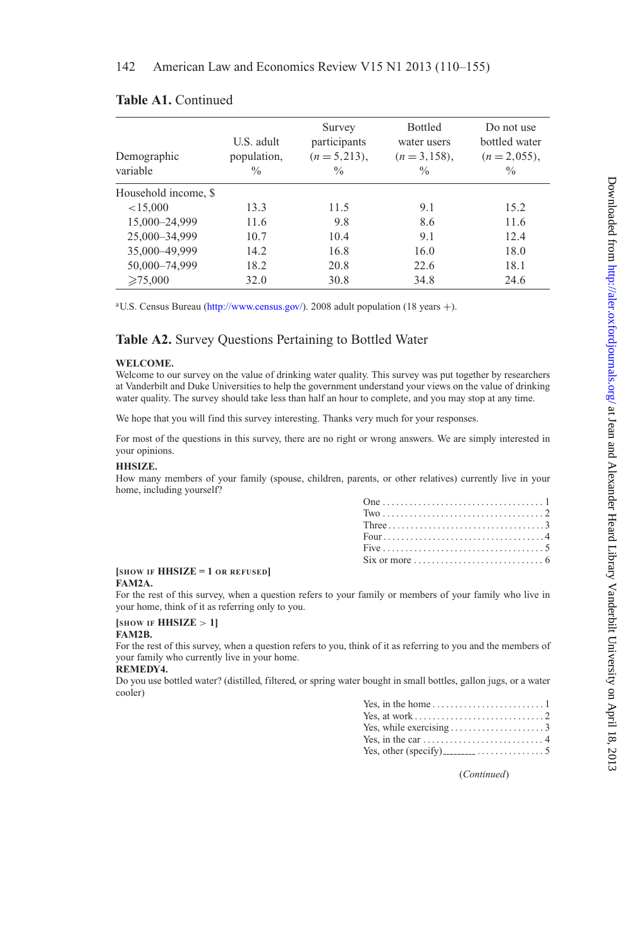| Demographic<br>variable | U.S. adult<br>population,<br>$\frac{0}{0}$ | Survey<br>participants<br>$(n=5,213),$<br>$\frac{0}{0}$ | Bottled<br>water users<br>$(n=3,158)$ ,<br>$\frac{0}{0}$ | Do not use<br>bottled water<br>$(n = 2, 055)$ ,<br>$\frac{0}{0}$ |
|-------------------------|--------------------------------------------|---------------------------------------------------------|----------------------------------------------------------|------------------------------------------------------------------|
| Household income, \$    |                                            |                                                         |                                                          |                                                                  |
| < 15,000                | 13.3                                       | 11.5                                                    | 9.1                                                      | 15.2                                                             |
| 15,000-24,999           | 11.6                                       | 9.8                                                     | 8.6                                                      | 11.6                                                             |
| 25,000-34,999           | 10.7                                       | 10.4                                                    | 9.1                                                      | 12.4                                                             |
| 35,000-49,999           | 14.2                                       | 16.8                                                    | 16.0                                                     | 18.0                                                             |
| 50,000-74,999           | 18.2                                       | 20.8                                                    | 22.6                                                     | 18.1                                                             |
| $\geq 75,000$           | 32.0                                       | 30.8                                                    | 34.8                                                     | 24.6                                                             |

## **Table A1.** Continued

<sup>a</sup>U.S. Census Bureau [\(http://www.census.gov/\)](http://www.census.gov/). 2008 adult population (18 years +).

## **Table A2.** Survey Questions Pertaining to Bottled Water

### **WELCOME.**

Welcome to our survey on the value of drinking water quality. This survey was put together by researchers at Vanderbilt and Duke Universities to help the government understand your views on the value of drinking water quality. The survey should take less than half an hour to complete, and you may stop at any time.

We hope that you will find this survey interesting. Thanks very much for your responses.

For most of the questions in this survey, there are no right or wrong answers. We are simply interested in your opinions.

### **HHSIZE.**

How many members of your family (spouse, children, parents, or other relatives) currently live in your home, including yourself?

#### **[SHOW IF HHSIZE = 1 OR REFUSED] FAM2A.**

For the rest of this survey, when a question refers to your family or members of your family who live in your home, think of it as referring only to you.

#### **[SHOW IF HHSIZE** *>* **1] FAM2B.**

For the rest of this survey, when a question refers to you, think of it as referring to you and the members of your family who currently live in your home.

#### **REMEDY4.**

Do you use bottled water? (distilled, filtered, or spring water bought in small bottles, gallon jugs, or a water cooler)

| Yes, while exercising $\dots \dots \dots \dots \dots \dots$ |  |
|-------------------------------------------------------------|--|
|                                                             |  |
|                                                             |  |

(*Continued*)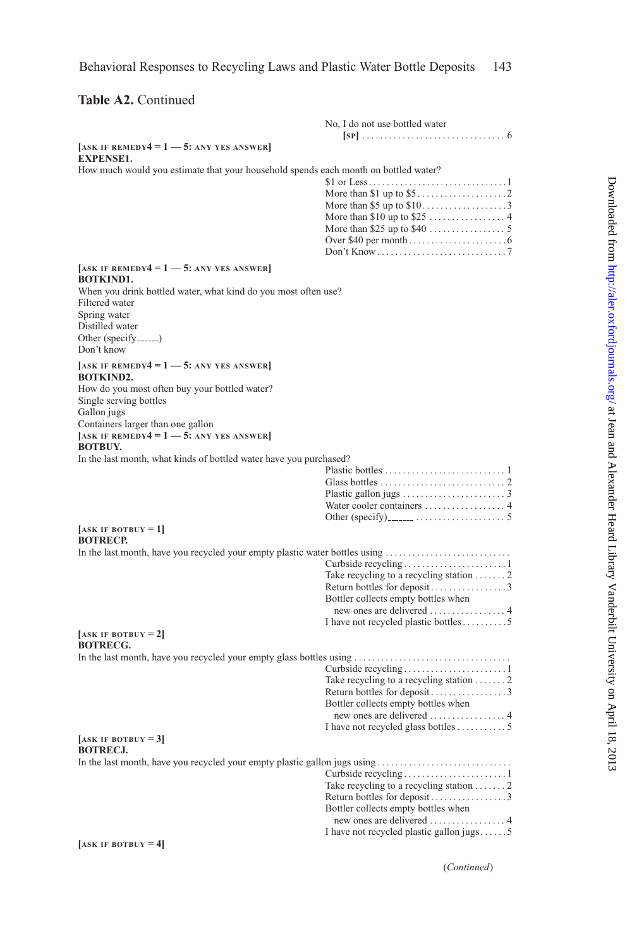## **Table A2.** Continued

|                                                                                     | No, I do not use bottled water                        |
|-------------------------------------------------------------------------------------|-------------------------------------------------------|
|                                                                                     |                                                       |
| $[ASK IF REMEDY4 = 1 — 5: ANY Yes ANSWER]$<br><b>EXPENSE1.</b>                      |                                                       |
| How much would you estimate that your household spends each month on bottled water? |                                                       |
|                                                                                     | \$1 or Less1                                          |
|                                                                                     |                                                       |
|                                                                                     | More than \$5 up to $$10$ 3                           |
|                                                                                     |                                                       |
|                                                                                     |                                                       |
|                                                                                     |                                                       |
|                                                                                     |                                                       |
| [ASK IF REMEDY4 = $1 - 5$ : ANY YES ANSWER]<br><b>BOTKIND1.</b>                     |                                                       |
| When you drink bottled water, what kind do you most often use?<br>Filtered water    |                                                       |
| Spring water                                                                        |                                                       |
| Distilled water                                                                     |                                                       |
| Other (specify)                                                                     |                                                       |
| Don't know                                                                          |                                                       |
|                                                                                     |                                                       |
| [ASK IF REMEDY4 = $1 - 5$ : ANY YES ANSWER]<br><b>BOTKIND2.</b>                     |                                                       |
| How do you most often buy your bottled water?                                       |                                                       |
| Single serving bottles                                                              |                                                       |
| Gallon jugs                                                                         |                                                       |
| Containers larger than one gallon                                                   |                                                       |
| [ASK IF REMEDY4 = $1 - 5$ : ANY YES ANSWER]<br><b>BOTBUY.</b>                       |                                                       |
| In the last month, what kinds of bottled water have you purchased?                  |                                                       |
|                                                                                     |                                                       |
|                                                                                     |                                                       |
|                                                                                     |                                                       |
|                                                                                     |                                                       |
| $[ASK IF BOTBUY = 1]$                                                               |                                                       |
| <b>BOTRECP.</b>                                                                     |                                                       |
| In the last month, have you recycled your empty plastic water bottles using         |                                                       |
|                                                                                     |                                                       |
|                                                                                     | Take recycling to a recycling station $\dots \dots 2$ |
|                                                                                     |                                                       |
|                                                                                     | Bottler collects empty bottles when                   |
|                                                                                     |                                                       |
|                                                                                     | I have not recycled plastic bottles5                  |
| $[ASK IF BOTBUY = 2]$<br><b>BOTRECG.</b>                                            |                                                       |
| In the last month, have you recycled your empty glass bottles using                 |                                                       |
|                                                                                     |                                                       |
|                                                                                     | Take recycling to a recycling station $\dots \dots 2$ |
|                                                                                     |                                                       |
|                                                                                     | Bottler collects empty bottles when                   |
|                                                                                     |                                                       |
|                                                                                     |                                                       |
| $[ASK IF BOTBUY = 3]$<br><b>BOTRECJ.</b>                                            |                                                       |
|                                                                                     |                                                       |
|                                                                                     |                                                       |
|                                                                                     | Take recycling to a recycling station $\dots \dots 2$ |
|                                                                                     | Return bottles for deposit3                           |
|                                                                                     | Bottler collects empty bottles when                   |
|                                                                                     |                                                       |
|                                                                                     | I have not recycled plastic gallon jugs $5$           |
| $[ASK IF BOTBUY = 4]$                                                               |                                                       |

(*Continued*)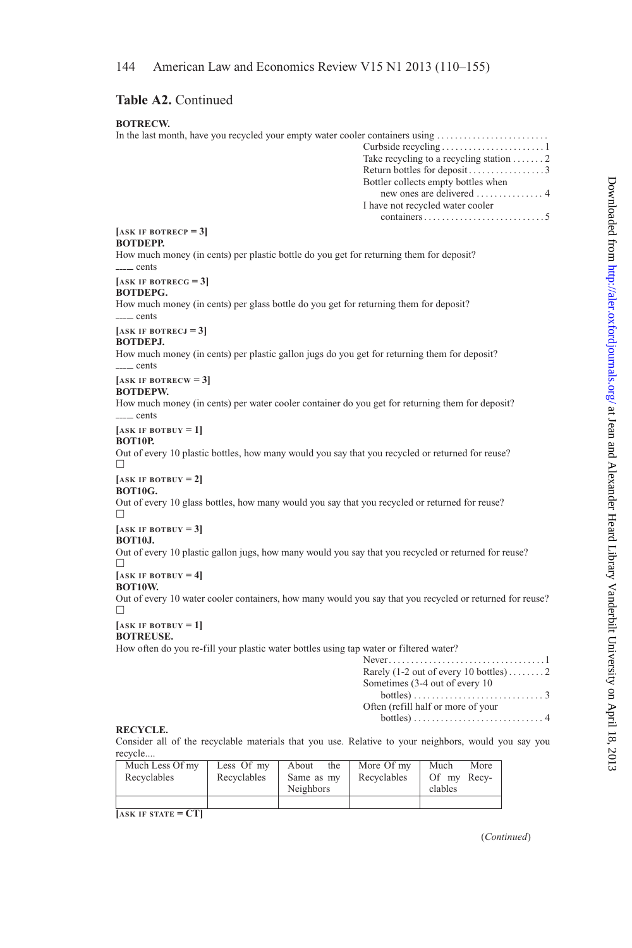## **Table A2.** Continued

| <b>BOTRECW.</b>                                                                                                           |                                                                                                                                                                                                                                                                    |
|---------------------------------------------------------------------------------------------------------------------------|--------------------------------------------------------------------------------------------------------------------------------------------------------------------------------------------------------------------------------------------------------------------|
| In the last month, have you recycled your empty water cooler containers using                                             | Take recycling to a recycling station $\dots \dots 2$<br>Bottler collects empty bottles when<br>new ones are delivered $\dots\dots\dots\dots$ .<br>I have not recycled water cooler<br>$contains \ldots \ldots \ldots \ldots \ldots \ldots \ldots \ldots \ldots 5$ |
| $[ASK IF BOTRECP = 3]$                                                                                                    |                                                                                                                                                                                                                                                                    |
| <b>BOTDEPP.</b><br>How much money (in cents) per plastic bottle do you get for returning them for deposit?<br>_____ cents |                                                                                                                                                                                                                                                                    |
| $[ASK IF BOTRECG = 3]$                                                                                                    |                                                                                                                                                                                                                                                                    |
| BOTDEPG.<br>How much money (in cents) per glass bottle do you get for returning them for deposit?<br>_____ cents          |                                                                                                                                                                                                                                                                    |
| $[ASK IF BOTRECJ = 3]$                                                                                                    |                                                                                                                                                                                                                                                                    |
| BOTDEPJ.<br>How much money (in cents) per plastic gallon jugs do you get for returning them for deposit?<br>------ cents  |                                                                                                                                                                                                                                                                    |
| $[ASK IF BOTRECW = 3]$                                                                                                    |                                                                                                                                                                                                                                                                    |
| BOTDEPW.<br>How much money (in cents) per water cooler container do you get for returning them for deposit?<br>$-\$ cents |                                                                                                                                                                                                                                                                    |
| $[ASK IF BOTBUY = 1]$                                                                                                     |                                                                                                                                                                                                                                                                    |
| <b>BOT10P.</b><br>Out of every 10 plastic bottles, how many would you say that you recycled or returned for reuse?<br>п   |                                                                                                                                                                                                                                                                    |
| $[ASK IF BOTBUY = 2]$                                                                                                     |                                                                                                                                                                                                                                                                    |
| <b>BOT10G.</b><br>Out of every 10 glass bottles, how many would you say that you recycled or returned for reuse?<br>п     |                                                                                                                                                                                                                                                                    |
| $[ASK IF BOTBUY = 3]$<br><b>BOT10J.</b>                                                                                   |                                                                                                                                                                                                                                                                    |
| Out of every 10 plastic gallon jugs, how many would you say that you recycled or returned for reuse?<br>п                 |                                                                                                                                                                                                                                                                    |
| $[ASK IF BOTBUY = 4]$<br><b>BOT10W.</b>                                                                                   |                                                                                                                                                                                                                                                                    |
| Out of every 10 water cooler containers, how many would you say that you recycled or returned for reuse?<br>п             |                                                                                                                                                                                                                                                                    |
| $[ASK IF BOTBUY = 1]$<br><b>BOTREUSE.</b>                                                                                 |                                                                                                                                                                                                                                                                    |
| How often do you re-fill your plastic water bottles using tap water or filtered water?                                    | Rarely (1-2 out of every 10 bottles)2<br>Sometimes (3-4 out of every 10)<br>Often (refill half or more of your                                                                                                                                                     |

## Often (refill half or more of your bottles) .............................4

### **RECYCLE.**

Consider all of the recyclable materials that you use. Relative to your neighbors, would you say you recycle....

| Much Less Of my<br>Recyclables | Less Of my<br>Recyclables | About<br>the<br>Same as my<br>Neighbors | More Of my<br>Recyclables | More<br>Much<br>Of my Recy-<br>clables |
|--------------------------------|---------------------------|-----------------------------------------|---------------------------|----------------------------------------|
|                                |                           |                                         |                           |                                        |

**[ASK IF STATE = CT]**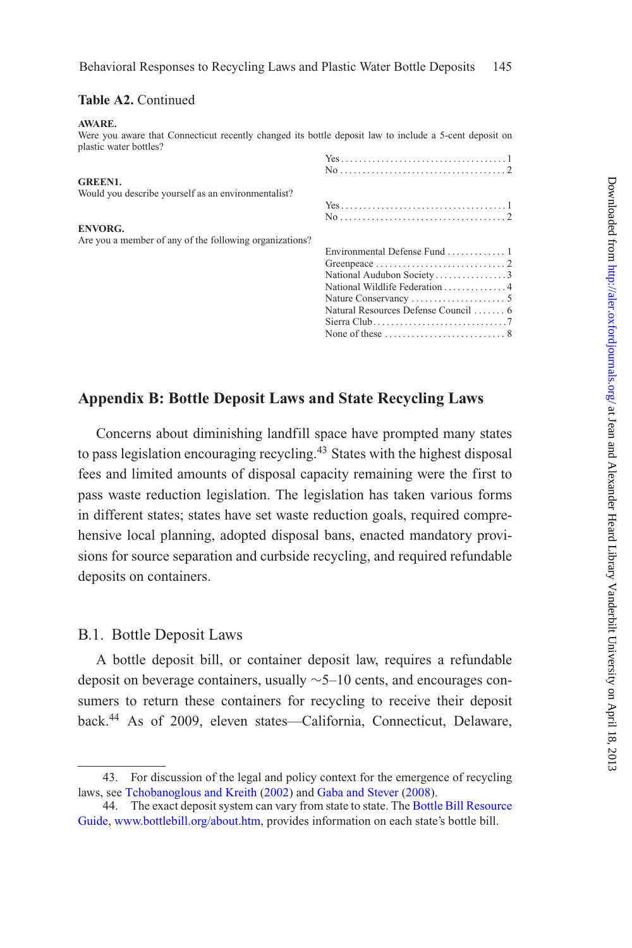## **Table A2.** Continued

#### **AWARE.**

Were you aware that Connecticut recently changed its bottle deposit law to include a 5-cent deposit on plastic water bottles? Yes . . . . . . . . . . . . . . . . . . . . . . . . . . . . . . . . . . . . . 1 No . . . . . . . . . . . . . . . . . . . . . . . . . . . . . . . . . . . . . 2 **GREEN1.** Would you describe yourself as an environmentalist? Yes . . . . . . . . . . . . . . . . . . . . . . . . . . . . . . . . . . . . . 1 No . . . . . . . . . . . . . . . . . . . . . . . . . . . . . . . . . . . . . 2 **ENVORG.** Are you a member of any of the following organizations? Environmental Defense Fund . . . . . . . . . . . . . 1 Greenpeace . ............................2 National Audubon Society . . . . . . . . . . . . . . 3 National Wildlife Federation . .............4 Nature Conservancy ..................... 5 Natural Resources Defense Council ....... 6 Sierra Club. . . . . . . . . . . . . . . . . . . . . . . . . . . . . .7 None of these ...........................8

## **Appendix B: Bottle Deposit Laws and State Recycling Laws**

Concerns about diminishing landfill space have prompted many states to pass legislation encouraging recycling.<sup>43</sup> States with the highest disposal fees and limited amounts of disposal capacity remaining were the first to pass waste reduction legislation. The legislation has taken various forms in different states; states have set waste reduction goals, required comprehensive local planning, adopted disposal bans, enacted mandatory provisions for source separation and curbside recycling, and required refundable deposits on containers.

## B.1. Bottle Deposit Laws

A bottle deposit bill, or container deposit law, requires a refundable deposit on beverage containers, usually ∼5–10 cents, and encourages consumers to return these containers for recycling to receive their deposit back.<sup>44</sup> As of 2009, eleven states—California, Connecticut, Delaware,

<sup>43.</sup> For discussion of the legal and policy context for the emergence of recycling laws, see [Tchobanoglous and Kreith](#page-45-6) [\(2002\)](#page-45-6) and [Gaba and Stever](#page-44-15) [\(2008](#page-44-15)).

[<sup>44.</sup>](#page-43-7) [The](#page-43-7) [exact](#page-43-7) [deposit](#page-43-7) [system](#page-43-7) [can](#page-43-7) [vary](#page-43-7) [from](#page-43-7) [state](#page-43-7) [to](#page-43-7) [state.](#page-43-7) The Bottle Bill Resource Guide, [www.bottlebill.org/about.htm,](file:www.bottlebill.org/about.htm) provides information on each state's bottle bill.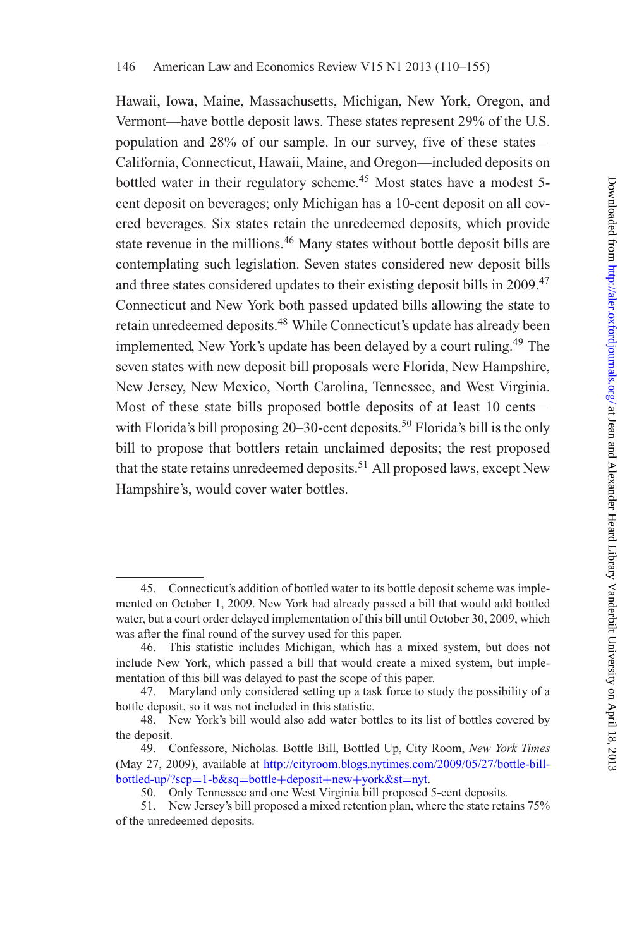Hawaii, Iowa, Maine, Massachusetts, Michigan, New York, Oregon, and Vermont—have bottle deposit laws. These states represent 29% of the U.S. population and 28% of our sample. In our survey, five of these states— California, Connecticut, Hawaii, Maine, and Oregon—included deposits on bottled water in their regulatory scheme.<sup>45</sup> Most states have a modest 5cent deposit on beverages; only Michigan has a 10-cent deposit on all covered beverages. Six states retain the unredeemed deposits, which provide state revenue in the millions.<sup>46</sup> Many states without bottle deposit bills are contemplating such legislation. Seven states considered new deposit bills and three states considered updates to their existing deposit bills in 2009.<sup>47</sup> Connecticut and New York both passed updated bills allowing the state to retain unredeemed deposits.48 While Connecticut's update has already been implemented, New York's update has been delayed by a court ruling.<sup>49</sup> The seven states with new deposit bill proposals were Florida, New Hampshire, New Jersey, New Mexico, North Carolina, Tennessee, and West Virginia. Most of these state bills proposed bottle deposits of at least 10 cents with Florida's bill proposing  $20-30$ -cent deposits.<sup>50</sup> Florida's bill is the only bill to propose that bottlers retain unclaimed deposits; the rest proposed that the state retains unredeemed deposits.<sup>51</sup> All proposed laws, except New Hampshire's, would cover water bottles.

<sup>45.</sup> Connecticut's addition of bottled water to its bottle deposit scheme was implemented on October 1, 2009. New York had already passed a bill that would add bottled water, but a court order delayed implementation of this bill until October 30, 2009, which was after the final round of the survey used for this paper.

<sup>46.</sup> This statistic includes Michigan, which has a mixed system, but does not include New York, which passed a bill that would create a mixed system, but implementation of this bill was delayed to past the scope of this paper.

<sup>47.</sup> Maryland only considered setting up a task force to study the possibility of a bottle deposit, so it was not included in this statistic.

<sup>48.</sup> New York's bill would also add water bottles to its list of bottles covered by the deposit.

<sup>49.</sup> Confessore, Nicholas. Bottle Bill, Bottled Up, City Room, *New York Times* (May 27, 2009), available at [http://cityroom.blogs.nytimes.com/2009/05/27/bottle-bill](http://cityroom.blogs.nytimes.com/2009/05/27/bottle-bill-bottled-up/?scp=1-b\&sq=bottle+deposit+new+york\&st=nyt)[bottled-up/?scp](http://cityroom.blogs.nytimes.com/2009/05/27/bottle-bill-bottled-up/?scp=1-b\&sq=bottle+deposit+new+york\&st=nyt)=1-b&sq=bottle+deposit+new+york&st=nyt.

<sup>50.</sup> Only Tennessee and one West Virginia bill proposed 5-cent deposits.

<sup>51.</sup> New Jersey's bill proposed a mixed retention plan, where the state retains 75% of the unredeemed deposits.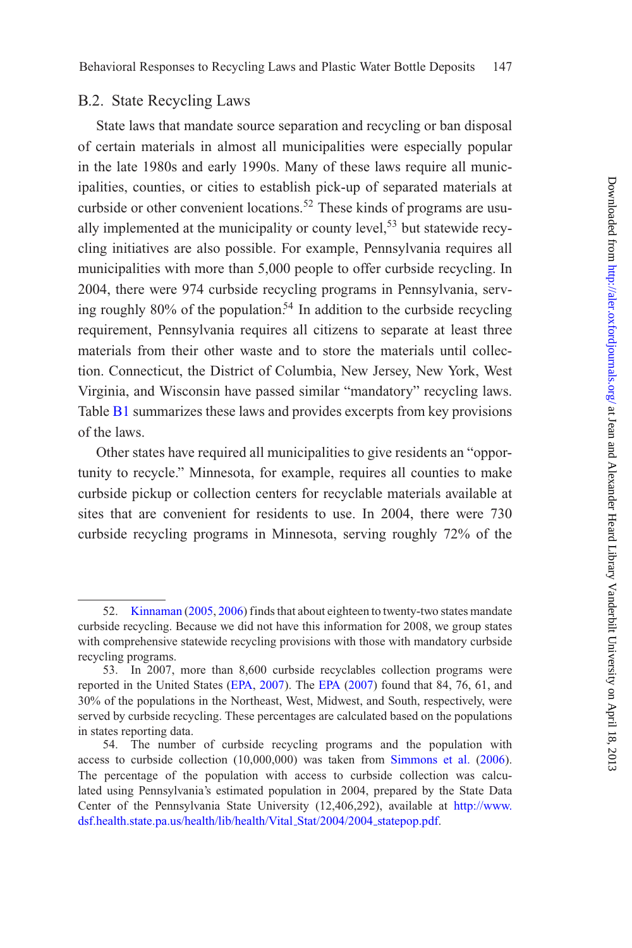## B.2. State Recycling Laws

State laws that mandate source separation and recycling or ban disposal of certain materials in almost all municipalities were especially popular in the late 1980s and early 1990s. Many of these laws require all municipalities, counties, or cities to establish pick-up of separated materials at curbside or other convenient locations.<sup>52</sup> These kinds of programs are usually implemented at the municipality or county level,<sup>53</sup> but statewide recycling initiatives are also possible. For example, Pennsylvania requires all municipalities with more than 5,000 people to offer curbside recycling. In 2004, there were 974 curbside recycling programs in Pennsylvania, serving roughly  $80\%$  of the population.<sup>54</sup> In addition to the curbside recycling requirement, Pennsylvania requires all citizens to separate at least three materials from their other waste and to store the materials until collection. Connecticut, the District of Columbia, New Jersey, New York, West Virginia, and Wisconsin have passed similar "mandatory" recycling laws. Table **[B1](#page-10-0)** summarizes these laws and provides excerpts from key provisions of the laws.

Other states have required all municipalities to give residents an "opportunity to recycle." Minnesota, for example, requires all counties to make curbside pickup or collection centers for recyclable materials available at sites that are convenient for residents to use. In 2004, there were 730 curbside recycling programs in Minnesota, serving roughly 72% of the

<sup>52.</sup> [Kinnaman](#page-44-11) [\(2005,](#page-44-11) [2006](#page-44-2)) finds that about eighteen to twenty-two states mandate curbside recycling. Because we did not have this information for 2008, we group states with comprehensive statewide recycling provisions with those with mandatory curbside recycling programs.

<sup>53.</sup> In 2007, more than 8,600 curbside recyclables collection programs were reported in the United States [\(EPA,](#page-45-7) [2007](#page-45-7)). The [EPA](#page-45-7) [\(2007](#page-45-7)) found that 84, 76, 61, and 30% of the populations in the Northeast, West, Midwest, and South, respectively, were served by curbside recycling. These percentages are calculated based on the populations in states reporting data.

<sup>54.</sup> The number of curbside recycling programs and the population with access to curbside collection (10,000,000) was taken from [Simmons et al.](#page-44-16) [\(2006](#page-44-16)). The percentage of the population with access to curbside collection was calculated using Pennsylvania's estimated population in 2004, prepared by the State Data Center of the Pennsylvania State University (12,406,292), available at [http://www.](http://www.dsf.health.state.pa.us/health/lib/health/Vital_Stat/2004/2004_statepop.pdf) [dsf.health.state.pa.us/health/lib/health/Vital](http://www.dsf.health.state.pa.us/health/lib/health/Vital_Stat/2004/2004_statepop.pdf) Stat/2004/2004 statepop.pdf.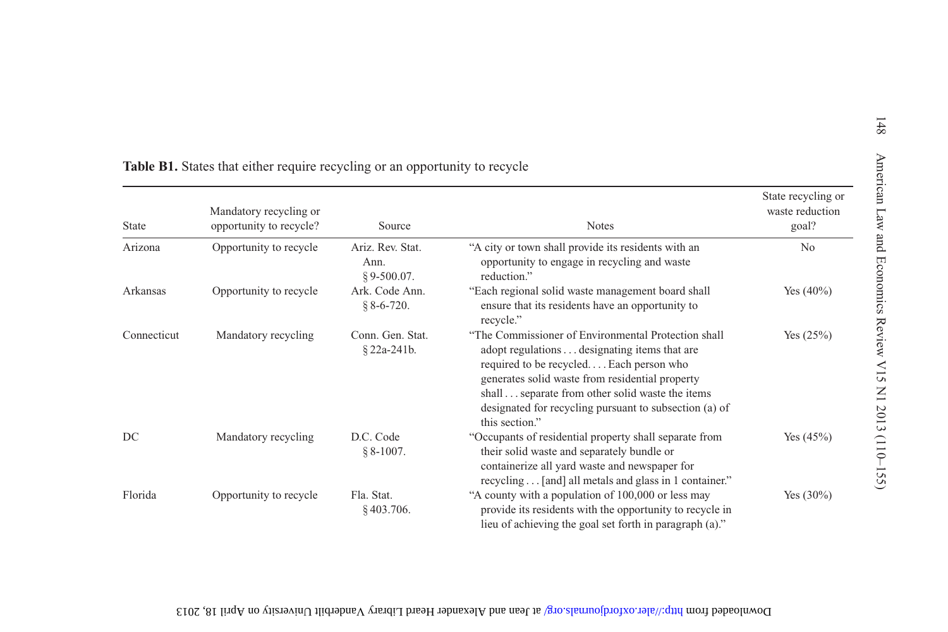| <b>State</b> | Mandatory recycling or<br>opportunity to recycle? | Source                                   | <b>Notes</b>                                                                                                                                                                                                                                                                                                                    | State recycling or<br>waste reduction<br>goal? |
|--------------|---------------------------------------------------|------------------------------------------|---------------------------------------------------------------------------------------------------------------------------------------------------------------------------------------------------------------------------------------------------------------------------------------------------------------------------------|------------------------------------------------|
| Arizona      | Opportunity to recycle                            | Ariz. Rev. Stat.<br>Ann.<br>$$9-500.07.$ | "A city or town shall provide its residents with an<br>opportunity to engage in recycling and waste<br>reduction."                                                                                                                                                                                                              | N <sub>0</sub>                                 |
| Arkansas     | Opportunity to recycle                            | Ark. Code Ann.<br>$$8-6-720.$            | "Each regional solid waste management board shall<br>ensure that its residents have an opportunity to<br>recycle."                                                                                                                                                                                                              | Yes $(40\%)$                                   |
| Connecticut  | Mandatory recycling                               | Conn. Gen. Stat.<br>§ 22a-241b.          | "The Commissioner of Environmental Protection shall<br>adopt regulations designating items that are<br>required to be recycled Each person who<br>generates solid waste from residential property<br>shallseparate from other solid waste the items<br>designated for recycling pursuant to subsection (a) of<br>this section." | Yes $(25%)$                                    |
| DC           | Mandatory recycling                               | D.C. Code<br>$§ 8-1007.$                 | "Occupants of residential property shall separate from<br>their solid waste and separately bundle or<br>containerize all yard waste and newspaper for<br>recycling [and] all metals and glass in 1 container."                                                                                                                  | Yes $(45%)$                                    |
| Florida      | Opportunity to recycle                            | Fla. Stat.<br>$§$ 403.706.               | "A county with a population of 100,000 or less may<br>provide its residents with the opportunity to recycle in<br>lieu of achieving the goal set forth in paragraph (a)."                                                                                                                                                       | Yes $(30\%)$                                   |

Download from http://alexand.org/ at lean and Alexander Heard Library Vanderbilt University to Vander April 18, 2013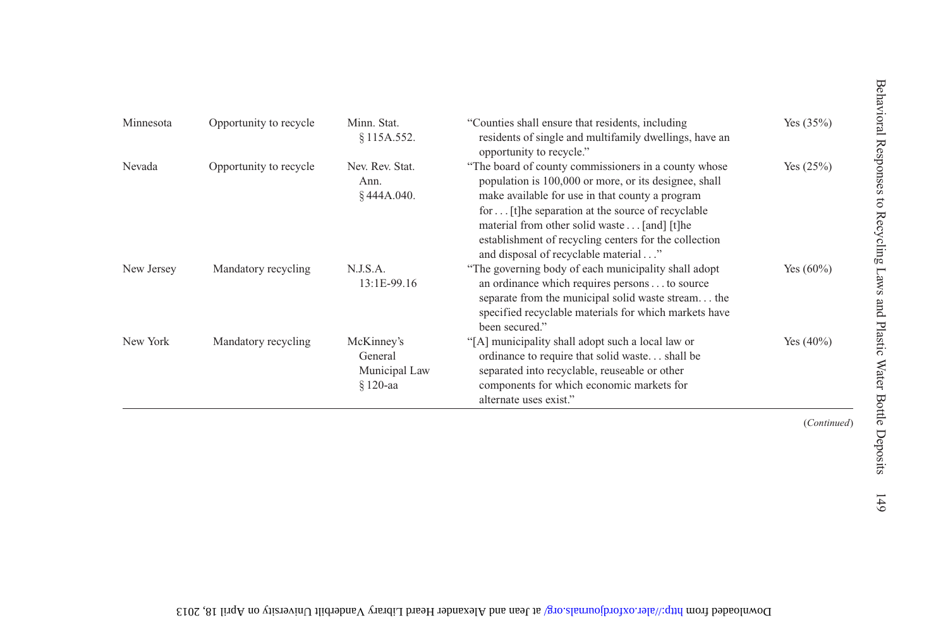| Minnesota  | Opportunity to recycle | Minn. Stat.<br>§115A.552.                         | "Counties shall ensure that residents, including<br>residents of single and multifamily dwellings, have an<br>opportunity to recycle."                                                                                                                                                                                                                                | Yes $(35%)$  |
|------------|------------------------|---------------------------------------------------|-----------------------------------------------------------------------------------------------------------------------------------------------------------------------------------------------------------------------------------------------------------------------------------------------------------------------------------------------------------------------|--------------|
| Nevada     | Opportunity to recycle | Nev. Rev. Stat.<br>Ann.<br>§444A.040.             | "The board of county commissioners in a county whose<br>population is 100,000 or more, or its designee, shall<br>make available for use in that county a program<br>for [t] he separation at the source of recyclable<br>material from other solid waste [and] [t]he<br>establishment of recycling centers for the collection<br>and disposal of recyclable material" | Yes $(25%)$  |
| New Jersey | Mandatory recycling    | N.J.S.A.<br>13:1E-99.16                           | "The governing body of each municipality shall adopt<br>an ordinance which requires persons to source<br>separate from the municipal solid waste stream the<br>specified recyclable materials for which markets have<br>been secured."                                                                                                                                | Yes $(60\%)$ |
| New York   | Mandatory recycling    | McKinney's<br>General<br>Municipal Law<br>§120-aa | "[A] municipality shall adopt such a local law or<br>ordinance to require that solid waste shall be<br>separated into recyclable, reuseable or other<br>components for which economic markets for<br>alternate uses exist."                                                                                                                                           | Yes $(40\%)$ |
|            |                        |                                                   |                                                                                                                                                                                                                                                                                                                                                                       | (Continued)  |

Download from http://alexand.org/ at Iean and Alexander Heard Library Vanderbilt University to VpH 18, 2013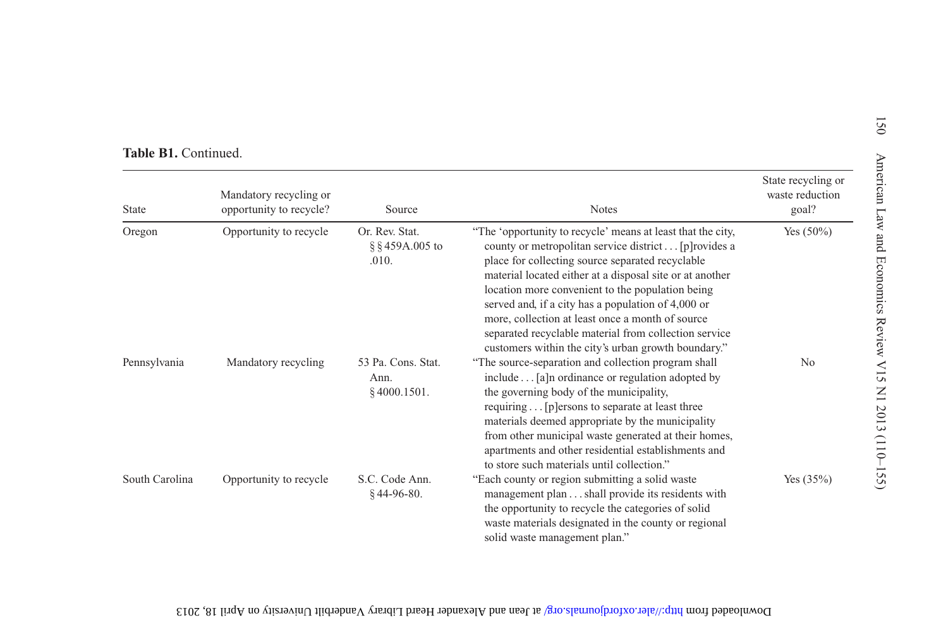| State          | Mandatory recycling or<br>opportunity to recycle? | Source                                       | <b>Notes</b>                                                                                                                                                                                                                                                                                                                                                                                                                                                                                                       | State recycling or<br>waste reduction<br>goal? |
|----------------|---------------------------------------------------|----------------------------------------------|--------------------------------------------------------------------------------------------------------------------------------------------------------------------------------------------------------------------------------------------------------------------------------------------------------------------------------------------------------------------------------------------------------------------------------------------------------------------------------------------------------------------|------------------------------------------------|
| Oregon         | Opportunity to recycle                            | Or. Rev. Stat.<br>§ § 459A.005 to<br>.010.   | "The 'opportunity to recycle' means at least that the city,<br>county or metropolitan service district [p] rovides a<br>place for collecting source separated recyclable<br>material located either at a disposal site or at another<br>location more convenient to the population being<br>served and, if a city has a population of 4,000 or<br>more, collection at least once a month of source<br>separated recyclable material from collection service<br>customers within the city's urban growth boundary." | Yes $(50\%)$                                   |
| Pennsylvania   | Mandatory recycling                               | 53 Pa. Cons. Stat.<br>Ann.<br>$§$ 4000.1501. | "The source-separation and collection program shall<br>include [a]n ordinance or regulation adopted by<br>the governing body of the municipality,<br>requiring [p] ersons to separate at least three<br>materials deemed appropriate by the municipality<br>from other municipal waste generated at their homes,<br>apartments and other residential establishments and<br>to store such materials until collection."                                                                                              | N <sub>0</sub>                                 |
| South Carolina | Opportunity to recycle                            | S.C. Code Ann.<br>$$44-96-80.$               | "Each county or region submitting a solid waste<br>management plan shall provide its residents with<br>the opportunity to recycle the categories of solid<br>waste materials designated in the county or regional<br>solid waste management plan."                                                                                                                                                                                                                                                                 | Yes $(35%)$                                    |

Download from http://alexand.org/ at lean and Alexander Heard Library Vanderbilt University to Vander April 18, 2013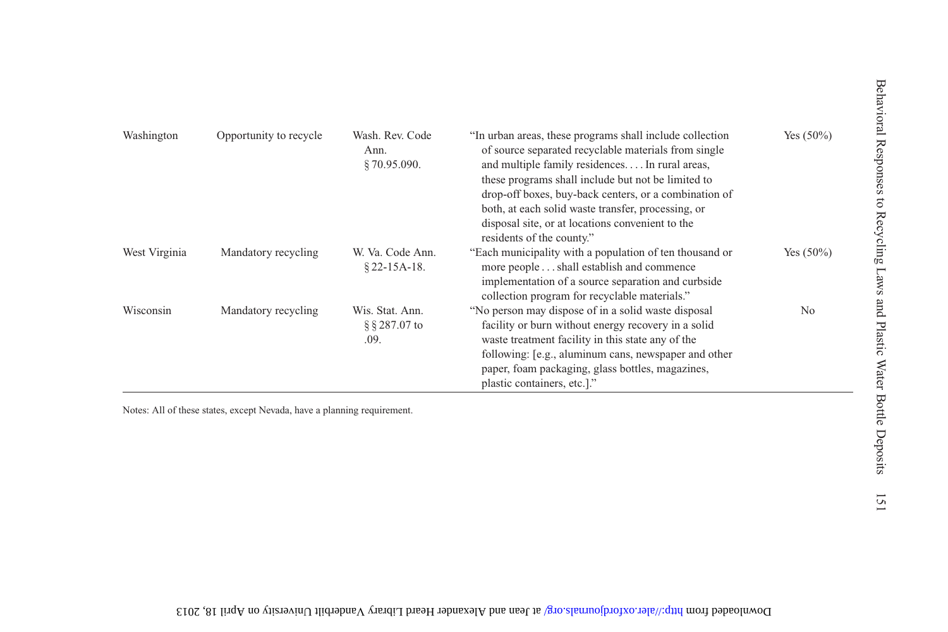| Washington    | Opportunity to recycle | Wash, Rev. Code<br>Ann.<br>\$70.95.090.  | "In urban areas, these programs shall include collection<br>of source separated recyclable materials from single<br>and multiple family residences In rural areas,<br>these programs shall include but not be limited to<br>drop-off boxes, buy-back centers, or a combination of<br>both, at each solid waste transfer, processing, or<br>disposal site, or at locations convenient to the<br>residents of the county." | Yes $(50\%)$   |
|---------------|------------------------|------------------------------------------|--------------------------------------------------------------------------------------------------------------------------------------------------------------------------------------------------------------------------------------------------------------------------------------------------------------------------------------------------------------------------------------------------------------------------|----------------|
| West Virginia | Mandatory recycling    | W. Va. Code Ann.<br>$§$ 22-15A-18.       | "Each municipality with a population of ten thousand or<br>more people shall establish and commence<br>implementation of a source separation and curbside<br>collection program for recyclable materials."                                                                                                                                                                                                               | Yes $(50\%)$   |
| Wisconsin     | Mandatory recycling    | Wis. Stat. Ann.<br>§ § 287.07 to<br>.09. | "No person may dispose of in a solid waste disposal<br>facility or burn without energy recovery in a solid<br>waste treatment facility in this state any of the<br>following: [e.g., aluminum cans, newspaper and other<br>paper, foam packaging, glass bottles, magazines,<br>plastic containers, etc.]."                                                                                                               | N <sub>0</sub> |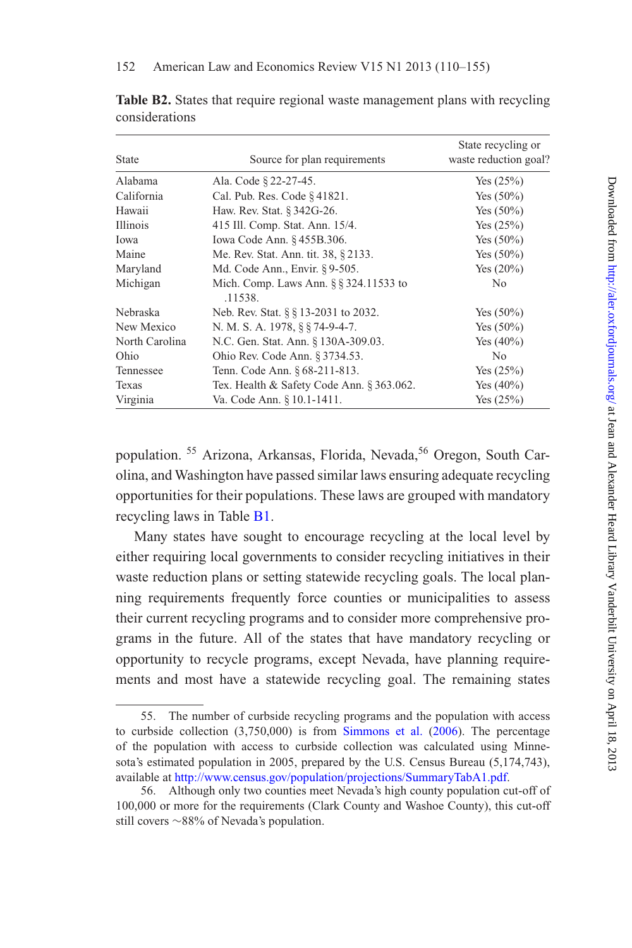| <b>State</b>   | Source for plan requirements                      | State recycling or<br>waste reduction goal? |
|----------------|---------------------------------------------------|---------------------------------------------|
| Alabama        | Ala. Code § 22-27-45.                             | Yes (25%)                                   |
| California     | Cal. Pub. Res. Code § 41821.                      | Yes $(50\%)$                                |
| Hawaii         | Haw. Rev. Stat. § 342G-26.                        | Yes $(50\%)$                                |
| Illinois       | 415 Ill. Comp. Stat. Ann. 15/4.                   | Yes $(25%)$                                 |
| Iowa           | Iowa Code Ann. § 455B.306.                        | Yes $(50\%)$                                |
| Maine          | Me. Rev. Stat. Ann. tit. 38, § 2133.              | Yes $(50\%)$                                |
| Maryland       | Md. Code Ann., Envir. § 9-505.                    | Yes $(20%)$                                 |
| Michigan       | Mich. Comp. Laws Ann. § § 324.11533 to<br>.11538. | N <sub>0</sub>                              |
| Nebraska       | Neb. Rev. Stat. § § 13-2031 to 2032.              | Yes $(50\%)$                                |
| New Mexico     | N. M. S. A. 1978, § § 74-9-4-7.                   | Yes $(50\%)$                                |
| North Carolina | N.C. Gen. Stat. Ann. § 130A-309.03.               | Yes $(40\%)$                                |
| Ohio           | Ohio Rev. Code Ann. § 3734.53.                    | N <sub>0</sub>                              |
| Tennessee      | Tenn. Code Ann. § 68-211-813.                     | Yes $(25%)$                                 |
| Texas          | Tex. Health & Safety Code Ann. $\S 363.062$ .     | Yes $(40\%)$                                |
| Virginia       | Va. Code Ann. § 10.1-1411.                        | Yes (25%)                                   |

**Table B2.** States that require regional waste management plans with recycling considerations

population. <sup>55</sup> Arizona, Arkansas, Florida, Nevada, <sup>56</sup> Oregon, South Carolina, and Washington have passed similar laws ensuring adequate recycling opportunities for their populations. These laws are grouped with mandatory recycling laws in Table **B1**.

Many states have sought to encourage recycling at the local level by either requiring local governments to consider recycling initiatives in their waste reduction plans or setting statewide recycling goals. The local planning requirements frequently force counties or municipalities to assess their current recycling programs and to consider more comprehensive programs in the future. All of the states that have mandatory recycling or opportunity to recycle programs, except Nevada, have planning requirements and most have a statewide recycling goal. The remaining states

<sup>55.</sup> The number of curbside recycling programs and the population with access to curbside collection  $(3,750,000)$  is from [Simmons et al.](#page-44-16)  $(2006)$ . The percentage of the population with access to curbside collection was calculated using Minnesota's estimated population in 2005, prepared by the U.S. Census Bureau (5,174,743), available at [http://www.census.gov/population/projections/SummaryTabA1.pdf.](http://www.census.gov/population/projections/SummaryTabA1.pdf)

<sup>56.</sup> Although only two counties meet Nevada's high county population cut-off of 100,000 or more for the requirements (Clark County and Washoe County), this cut-off still covers ∼88% of Nevada's population.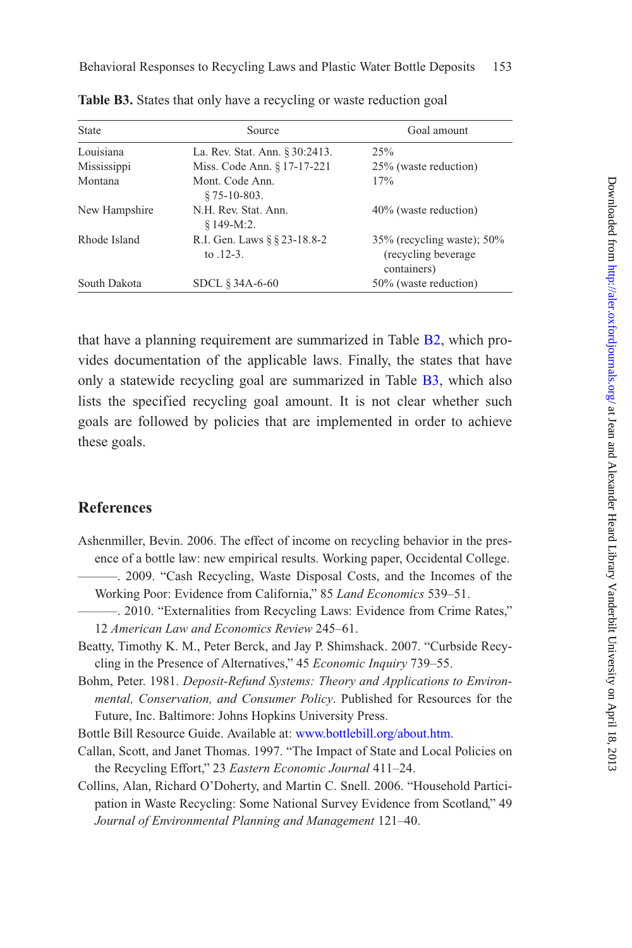| State         | Source                                      | Goal amount                                                            |
|---------------|---------------------------------------------|------------------------------------------------------------------------|
| Louisiana     | La. Rev. Stat. Ann. § 30:2413.              | 25%                                                                    |
| Mississippi   | Miss. Code Ann. § 17-17-221                 | 25% (waste reduction)                                                  |
| Montana       | Mont. Code Ann.<br>$$75-10-803.$            | 17%                                                                    |
| New Hampshire | N.H. Rev. Stat. Ann.<br>$$149-M:2.$         | 40% (waste reduction)                                                  |
| Rhode Island  | R.I. Gen. Laws § § 23-18.8-2<br>to $.12-3.$ | $35\%$ (recycling waste); $50\%$<br>(recycling beverage<br>containers) |
| South Dakota  | SDCL § 34A-6-60                             | 50% (waste reduction)                                                  |

Table **B3.** States that only have a recycling or waste reduction goal

that have a planning requirement are summarized in Table [B2,](#page-13-0) which provides documentation of the applicable laws. Finally, the states that have only a statewide recycling goal are summarized in Table [B3,](#page-14-0) which also lists the specified recycling goal amount. It is not clear whether such goals are followed by policies that are implemented in order to achieve these goals.

## **References**

- <span id="page-43-4"></span><span id="page-43-1"></span>Ashenmiller, Bevin. 2006. The effect of income on recycling behavior in the presence of a bottle law: new empirical results. Working paper, Occidental College.
	- ———. 2009. "Cash Recycling, Waste Disposal Costs, and the Incomes of the Working Poor: Evidence from California," 85 *Land Economics* 539–51.
	- ———. 2010. "Externalities from Recycling Laws: Evidence from Crime Rates," 12 *American Law and Economics Review* 245–61.
- <span id="page-43-5"></span><span id="page-43-2"></span>Beatty, Timothy K. M., Peter Berck, and Jay P. Shimshack. 2007. "Curbside Recycling in the Presence of Alternatives," 45 *Economic Inquiry* 739–55.
- <span id="page-43-3"></span>Bohm, Peter. 1981. *Deposit-Refund Systems: Theory and Applications to Environmental, Conservation, and Consumer Policy*. Published for Resources for the Future, Inc. Baltimore: Johns Hopkins University Press.
- <span id="page-43-7"></span>Bottle Bill Resource Guide. Available at: [www.bottlebill.org/about.htm.](file:www.bottlebill.org/about.htm)
- <span id="page-43-0"></span>Callan, Scott, and Janet Thomas. 1997. "The Impact of State and Local Policies on the Recycling Effort," 23 *Eastern Economic Journal* 411–24.
- <span id="page-43-6"></span>Collins, Alan, Richard O'Doherty, and Martin C. Snell. 2006. "Household Participation in Waste Recycling: Some National Survey Evidence from Scotland," 49 *Journal of Environmental Planning and Management* 121–40.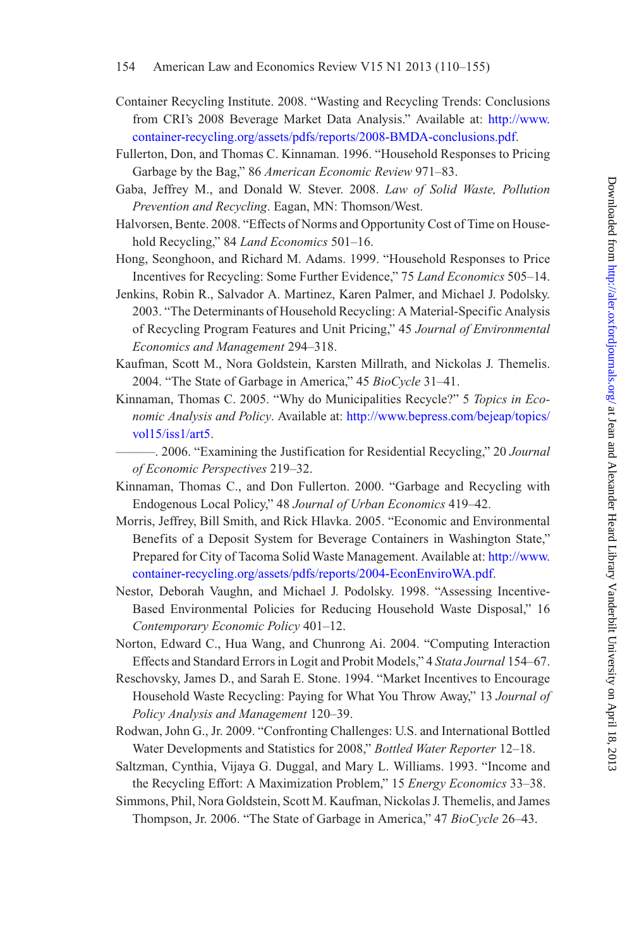- <span id="page-44-1"></span>Container Recycling Institute. 2008. "Wasting and Recycling Trends: Conclusions from CRI's 2008 Beverage Market Data Analysis." Available at: [http://www.](http://www.container-recycling.org/assets/pdfs/reports/2008-BMDA-conclusions.pdf) [container-recycling.org/assets/pdfs/reports/2008-BMDA-conclusions.pdf.](http://www.container-recycling.org/assets/pdfs/reports/2008-BMDA-conclusions.pdf)
- <span id="page-44-5"></span>Fullerton, Don, and Thomas C. Kinnaman. 1996. "Household Responses to Pricing Garbage by the Bag," 86 *American Economic Review* 971–83.
- <span id="page-44-15"></span>Gaba, Jeffrey M., and Donald W. Stever. 2008. *Law of Solid Waste, Pollution Prevention and Recycling*. Eagan, MN: Thomson/West.
- <span id="page-44-13"></span>Halvorsen, Bente. 2008. "Effects of Norms and Opportunity Cost of Time on Household Recycling," 84 *Land Economics* 501–16.
- <span id="page-44-7"></span>Hong, Seonghoon, and Richard M. Adams. 1999. "Household Responses to Price Incentives for Recycling: Some Further Evidence," 75 *Land Economics* 505–14.
- <span id="page-44-4"></span>Jenkins, Robin R., Salvador A. Martinez, Karen Palmer, and Michael J. Podolsky. 2003. "The Determinants of Household Recycling: A Material-Specific Analysis of Recycling Program Features and Unit Pricing," 45 *Journal of Environmental Economics and Management* 294–318.
- <span id="page-44-12"></span>Kaufman, Scott M., Nora Goldstein, Karsten Millrath, and Nickolas J. Themelis. 2004. "The State of Garbage in America," 45 *BioCycle* 31–41.
- <span id="page-44-11"></span>Kinnaman, Thomas C. 2005. "Why do Municipalities Recycle?" 5 *Topics in Economic Analysis and Policy*. Available at: [http://www.bepress.com/bejeap/topics/](http://www.bepress.com/bejeap/topics/vol15/iss1/art5) [vol15/iss1/art5.](http://www.bepress.com/bejeap/topics/vol15/iss1/art5)
	- ———. 2006. "Examining the Justification for Residential Recycling," 20 *Journal of Economic Perspectives* 219–32.
- <span id="page-44-8"></span><span id="page-44-2"></span>Kinnaman, Thomas C., and Don Fullerton. 2000. "Garbage and Recycling with Endogenous Local Policy," 48 *Journal of Urban Economics* 419–42.
- <span id="page-44-3"></span>Morris, Jeffrey, Bill Smith, and Rick Hlavka. 2005. "Economic and Environmental Benefits of a Deposit System for Beverage Containers in Washington State," Prepared for City of Tacoma Solid Waste Management. Available at: [http://www.](http://www.container-recycling.org/assets/pdfs/reports/2004-EconEnviroWA.pdf) [container-recycling.org/assets/pdfs/reports/2004-EconEnviroWA.pdf.](http://www.container-recycling.org/assets/pdfs/reports/2004-EconEnviroWA.pdf)
- <span id="page-44-6"></span>Nestor, Deborah Vaughn, and Michael J. Podolsky. 1998. "Assessing Incentive-Based Environmental Policies for Reducing Household Waste Disposal," 16 *Contemporary Economic Policy* 401–12.
- <span id="page-44-14"></span>Norton, Edward C., Hua Wang, and Chunrong Ai. 2004. "Computing Interaction Effects and Standard Errors in Logit and Probit Models," 4 *Stata Journal* 154–67.
- <span id="page-44-10"></span>Reschovsky, James D., and Sarah E. Stone. 1994. "Market Incentives to Encourage Household Waste Recycling: Paying for What You Throw Away," 13 *Journal of Policy Analysis and Management* 120–39.
- <span id="page-44-0"></span>Rodwan, John G., Jr. 2009. "Confronting Challenges: U.S. and International Bottled Water Developments and Statistics for 2008," *Bottled Water Reporter* 12–18.
- <span id="page-44-9"></span>Saltzman, Cynthia, Vijaya G. Duggal, and Mary L. Williams. 1993. "Income and the Recycling Effort: A Maximization Problem," 15 *Energy Economics* 33–38.
- <span id="page-44-16"></span>Simmons, Phil, Nora Goldstein, Scott M. Kaufman, Nickolas J. Themelis, and James Thompson, Jr. 2006. "The State of Garbage in America," 47 *BioCycle* 26–43.